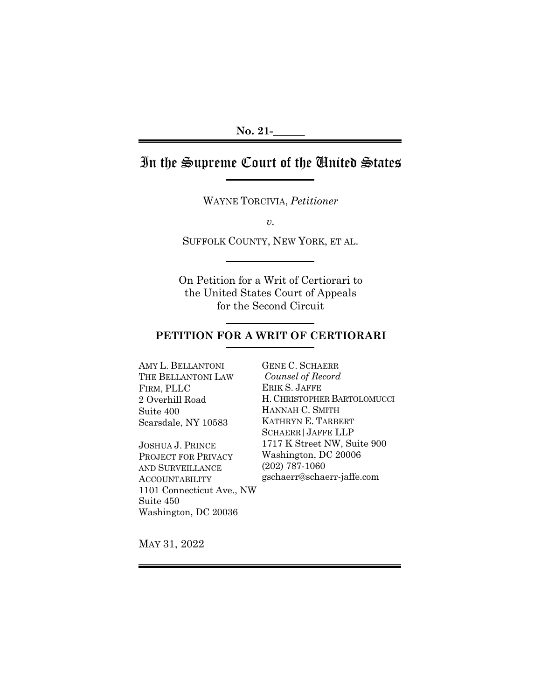# In the Supreme Court of the United States

WAYNE TORCIVIA, *Petitioner*

*v.*

SUFFOLK COUNTY, NEW YORK, ET AL.

j

On Petition for a Writ of Certiorari to the United States Court of Appeals for the Second Circuit

# **PETITION FOR A WRIT OF CERTIORARI**

AMY L. BELLANTONI THE BELLANTONI LAW FIRM, PLLC 2 Overhill Road Suite 400 Scarsdale, NY 10583

JOSHUA J. PRINCE PROJECT FOR PRIVACY AND SURVEILLANCE ACCOUNTABILITY 1101 Connecticut Ave., NW Suite 450 Washington, DC 20036

GENE C. SCHAERR *Counsel of Record* ERIK S. JAFFE H. CHRISTOPHER BARTOLOMUCCI HANNAH C. SMITH KATHRYN E. TARBERT SCHAERR|JAFFE LLP 1717 K Street NW, Suite 900 Washington, DC 20006 (202) 787-1060 gschaerr@schaerr-jaffe.com

MAY 31, 2022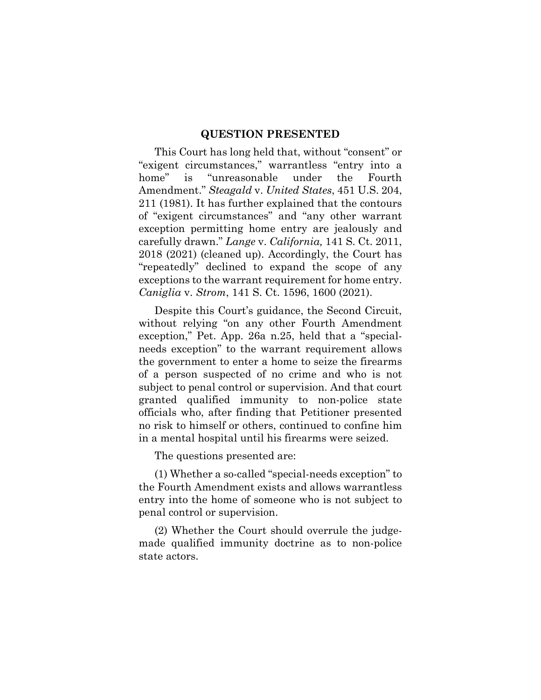#### **QUESTION PRESENTED**

<span id="page-1-0"></span>This Court has long held that, without "consent" or "exigent circumstances," warrantless "entry into a home" is "unreasonable under the Fourth Amendment." *Steagald* v. *United States*, 451 U.S. 204, 211 (1981). It has further explained that the contours of "exigent circumstances" and "any other warrant exception permitting home entry are jealously and carefully drawn." *Lange* v. *California,* 141 S. Ct. 2011, 2018 (2021) (cleaned up). Accordingly, the Court has "repeatedly" declined to expand the scope of any exceptions to the warrant requirement for home entry. *Caniglia* v. *Strom*, 141 S. Ct. 1596, 1600 (2021).

Despite this Court's guidance, the Second Circuit, without relying "on any other Fourth Amendment exception," Pet. App. 26a n.25, held that a "specialneeds exception" to the warrant requirement allows the government to enter a home to seize the firearms of a person suspected of no crime and who is not subject to penal control or supervision. And that court granted qualified immunity to non-police state officials who, after finding that Petitioner presented no risk to himself or others, continued to confine him in a mental hospital until his firearms were seized.

The questions presented are:

(1) Whether a so-called "special-needs exception" to the Fourth Amendment exists and allows warrantless entry into the home of someone who is not subject to penal control or supervision.

(2) Whether the Court should overrule the judgemade qualified immunity doctrine as to non-police state actors.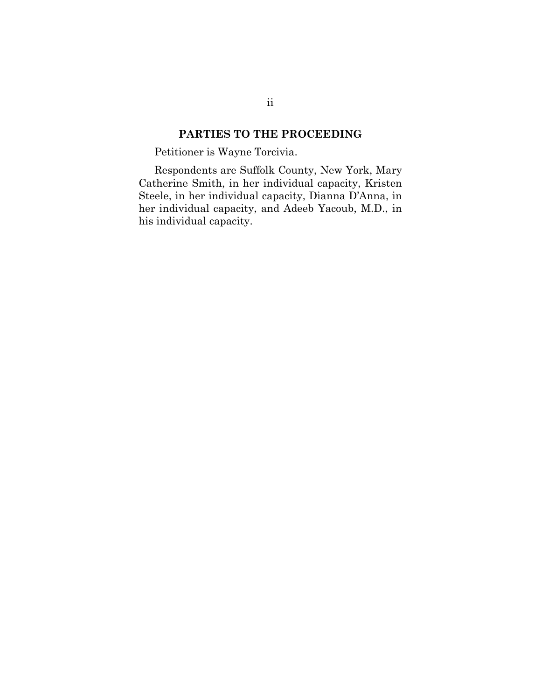# **PARTIES TO THE PROCEEDING**

<span id="page-2-0"></span>Petitioner is Wayne Torcivia.

Respondents are Suffolk County, New York, Mary Catherine Smith, in her individual capacity, Kristen Steele, in her individual capacity, Dianna D'Anna, in her individual capacity, and Adeeb Yacoub, M.D., in his individual capacity.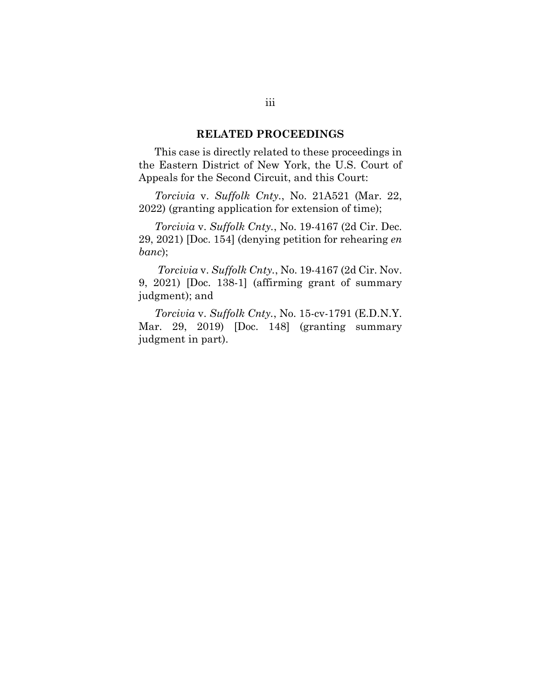#### **RELATED PROCEEDINGS**

<span id="page-3-0"></span>This case is directly related to these proceedings in the Eastern District of New York, the U.S. Court of Appeals for the Second Circuit, and this Court:

*Torcivia* v. *Suffolk Cnty.*, No. 21A521 (Mar. 22, 2022) (granting application for extension of time);

*Torcivia* v. *Suffolk Cnty.*, No. 19-4167 (2d Cir. Dec. 29, 2021) [Doc. 154] (denying petition for rehearing *en banc*);

*Torcivia* v. *Suffolk Cnty.*, No. 19-4167 (2d Cir. Nov. 9, 2021) [Doc. 138-1] (affirming grant of summary judgment); and

*Torcivia* v. *Suffolk Cnty.*, No. 15-cv-1791 (E.D.N.Y. Mar. 29, 2019) [Doc. 148] (granting summary judgment in part).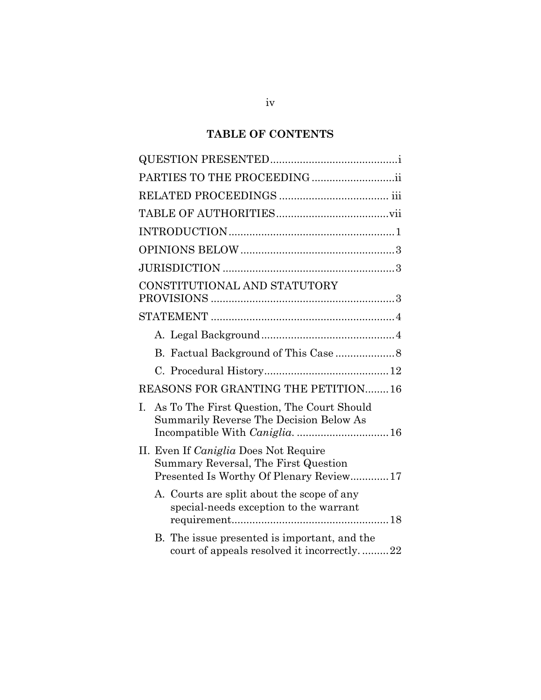# **TABLE OF CONTENTS**

| PARTIES TO THE PROCEEDING ii                                                                                                    |
|---------------------------------------------------------------------------------------------------------------------------------|
|                                                                                                                                 |
|                                                                                                                                 |
|                                                                                                                                 |
|                                                                                                                                 |
|                                                                                                                                 |
| CONSTITUTIONAL AND STATUTORY                                                                                                    |
|                                                                                                                                 |
|                                                                                                                                 |
|                                                                                                                                 |
|                                                                                                                                 |
|                                                                                                                                 |
| REASONS FOR GRANTING THE PETITION16                                                                                             |
| As To The First Question, The Court Should<br>I.<br>Summarily Reverse The Decision Below As<br>Incompatible With Caniglia.  16  |
| II. Even If <i>Caniglia</i> Does Not Require<br>Summary Reversal, The First Question<br>Presented Is Worthy Of Plenary Review17 |
| A. Courts are split about the scope of any<br>special-needs exception to the warrant                                            |
| B. The issue presented is important, and the<br>court of appeals resolved it incorrectly22                                      |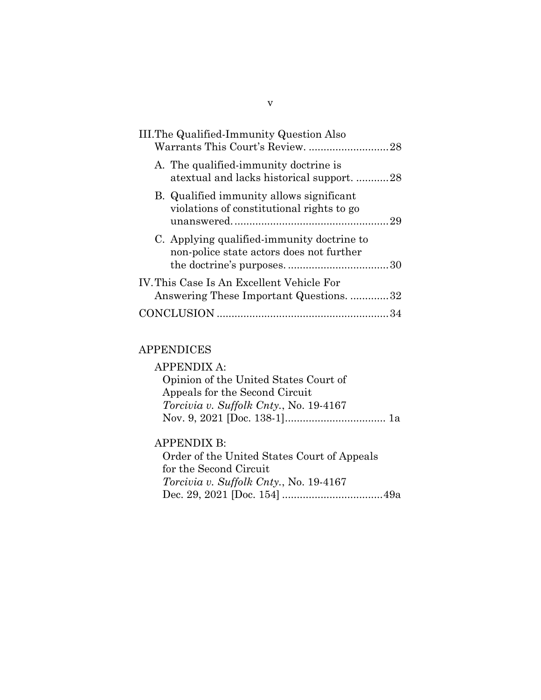| III. The Qualified-Immunity Question Also<br>Warrants This Court's Review. 28          |  |
|----------------------------------------------------------------------------------------|--|
| A. The qualified-immunity doctrine is<br>atextual and lacks historical support28       |  |
| B. Qualified immunity allows significant<br>violations of constitutional rights to go  |  |
| C. Applying qualified-immunity doctrine to<br>non-police state actors does not further |  |
| IV. This Case Is An Excellent Vehicle For<br>Answering These Important Questions. 32   |  |
|                                                                                        |  |

# APPENDICES

| APPENDIX A:                                   |  |
|-----------------------------------------------|--|
| Opinion of the United States Court of         |  |
| Appeals for the Second Circuit                |  |
| <i>Torcivia v. Suffolk Cnty., No.</i> 19-4167 |  |
|                                               |  |
|                                               |  |

# APPENDIX B:

Order of the United States Court of Appeals for the Second Circuit *Torcivia v. Suffolk Cnty.*, No. 19-4167 Dec. 29, 2021 [Doc. 154] ..................................49a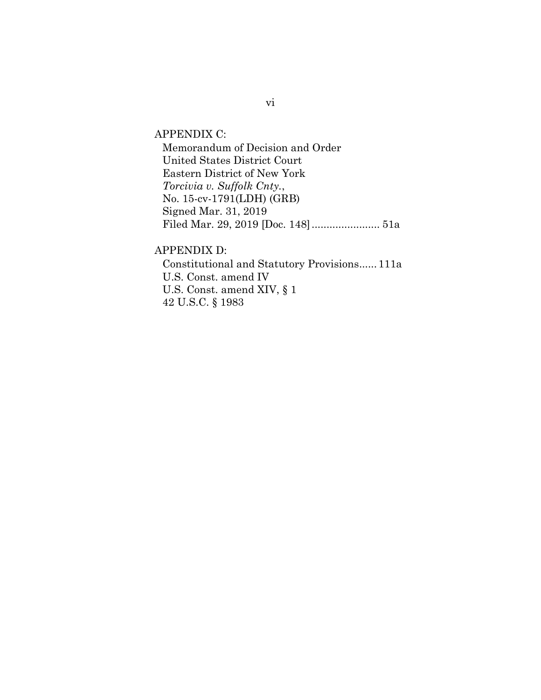APPENDIX C:

Memorandum of Decision and Order United States District Court Eastern District of New York *Torcivia v. Suffolk Cnty.*, No. 15-cv-1791(LDH) (GRB) Signed Mar. 31, 2019 Filed Mar. 29, 2019 [Doc. 148]....................... 51a

APPENDIX D:

Constitutional and Statutory Provisions...... 111a U.S. Const. amend IV U.S. Const. amend XIV, § 1 42 U.S.C. § 1983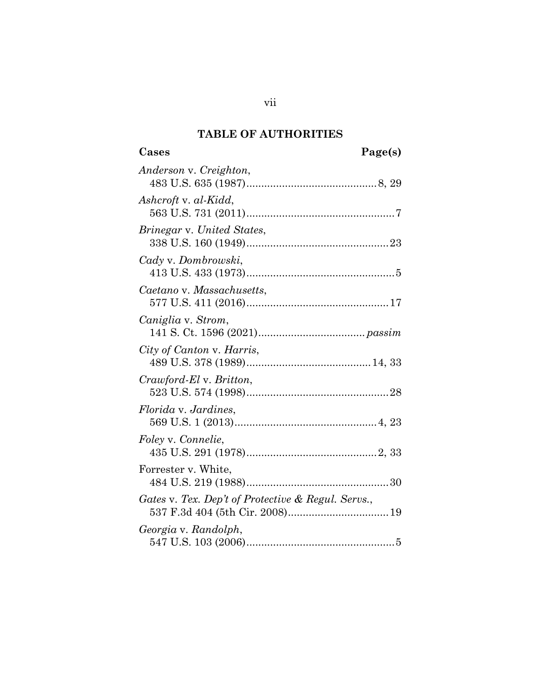# **TABLE OF AUTHORITIES**

vii

<span id="page-7-0"></span>

| Anderson v. Creighton,                             |
|----------------------------------------------------|
| Ashcroft v. al-Kidd,                               |
| Brinegar v. United States,                         |
| Cady v. Dombrowski,                                |
| Caetano v. Massachusetts,                          |
| Caniglia v. Strom,                                 |
| City of Canton v. Harris,                          |
| Crawford-El v. Britton,                            |
| <i>Florida v. Jardines,</i>                        |
| Foley v. Connelie,                                 |
| Forrester v. White,                                |
| Gates v. Tex. Dep't of Protective & Regul. Servs., |
| Georgia v. Randolph,                               |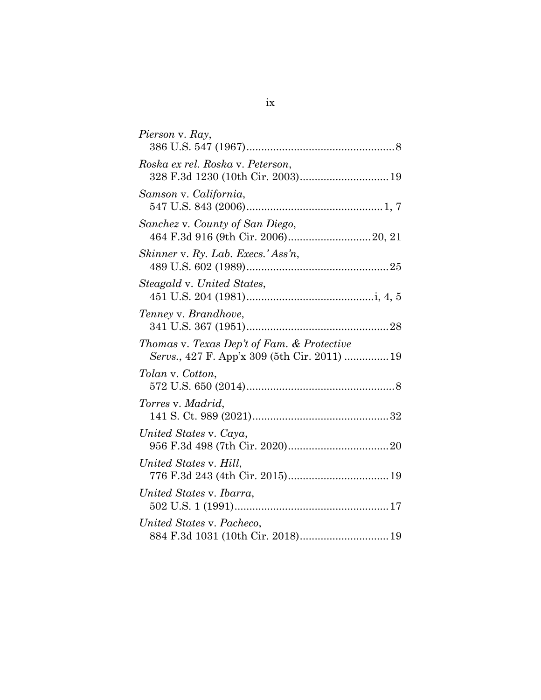| Pierson v. Ray,                                                                            |
|--------------------------------------------------------------------------------------------|
| Roska ex rel. Roska v. Peterson,<br>328 F.3d 1230 (10th Cir. 2003) 19                      |
| Samson v. California,                                                                      |
| Sanchez v. County of San Diego,                                                            |
| Skinner v. Ry. Lab. Execs.' Ass'n,                                                         |
| Steagald v. United States,                                                                 |
| Tenney v. Brandhove,                                                                       |
| Thomas v. Texas Dep't of Fam. & Protective<br>Servs., 427 F. App'x 309 (5th Cir. 2011)  19 |
| Tolan v. Cotton,                                                                           |
| Torres v. Madrid,                                                                          |
| United States v. Caya,                                                                     |
| United States v. Hill,                                                                     |
| United States v. Ibarra,                                                                   |
| United States v. Pacheco,                                                                  |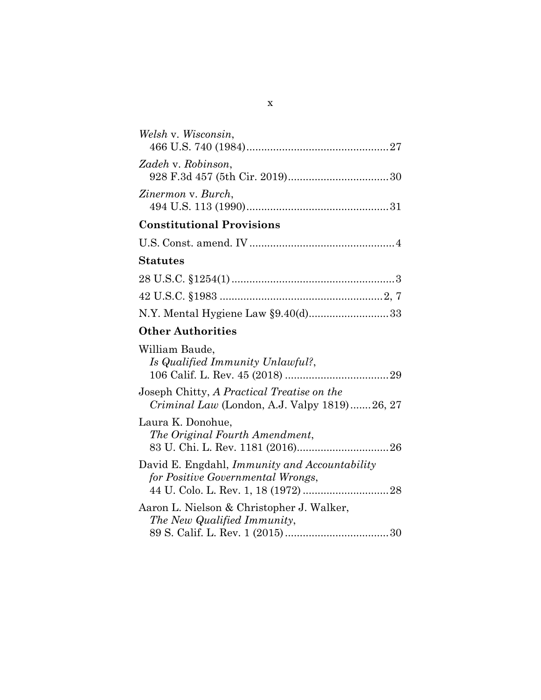| Welsh v. Wisconsin,                                                                               |
|---------------------------------------------------------------------------------------------------|
| Zadeh v. Robinson,                                                                                |
| Zinermon v. Burch,                                                                                |
| <b>Constitutional Provisions</b>                                                                  |
|                                                                                                   |
| <b>Statutes</b>                                                                                   |
|                                                                                                   |
|                                                                                                   |
| N.Y. Mental Hygiene Law §9.40(d)33                                                                |
| <b>Other Authorities</b>                                                                          |
| William Baude,<br>Is Qualified Immunity Unlawful?,                                                |
| Joseph Chitty, A Practical Treatise on the<br><i>Criminal Law</i> (London, A.J. Valpy 1819)26, 27 |
| Laura K. Donohue,<br>The Original Fourth Amendment,                                               |
| David E. Engdahl, <i>Immunity and Accountability</i><br>for Positive Governmental Wrongs,         |
| Aaron L. Nielson & Christopher J. Walker,<br>The New Qualified Immunity,                          |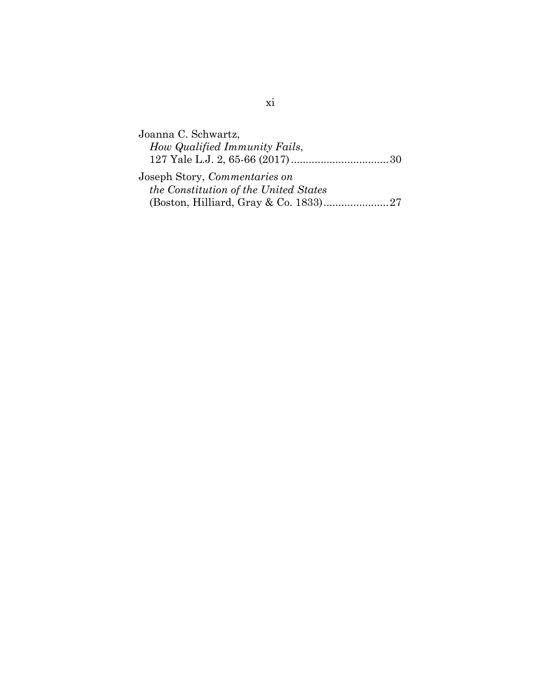| Joanna C. Schwartz,                   |  |
|---------------------------------------|--|
| How Qualified Immunity Fails,         |  |
|                                       |  |
| Joseph Story, <i>Commentaries on</i>  |  |
| the Constitution of the United States |  |
|                                       |  |
|                                       |  |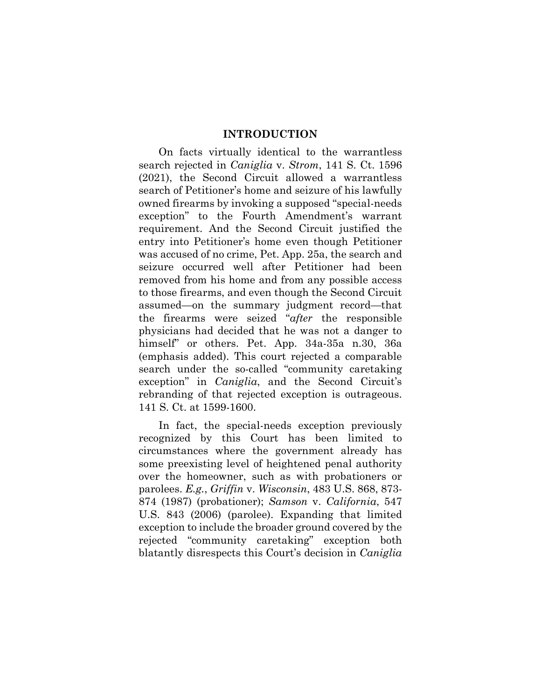#### **INTRODUCTION**

<span id="page-12-0"></span>On facts virtually identical to the warrantless search rejected in *Caniglia* v. *Strom*, 141 S. Ct. 1596 (2021), the Second Circuit allowed a warrantless search of Petitioner's home and seizure of his lawfully owned firearms by invoking a supposed "special-needs exception" to the Fourth Amendment's warrant requirement. And the Second Circuit justified the entry into Petitioner's home even though Petitioner was accused of no crime, Pet. App. 25a, the search and seizure occurred well after Petitioner had been removed from his home and from any possible access to those firearms, and even though the Second Circuit assumed—on the summary judgment record—that the firearms were seized "*after* the responsible physicians had decided that he was not a danger to himself" or others. Pet. App. 34a-35a n.30, 36a (emphasis added). This court rejected a comparable search under the so-called "community caretaking exception" in *Caniglia*, and the Second Circuit's rebranding of that rejected exception is outrageous. 141 S. Ct. at 1599-1600.

In fact, the special-needs exception previously recognized by this Court has been limited to circumstances where the government already has some preexisting level of heightened penal authority over the homeowner, such as with probationers or parolees. *E.g.*, *Griffin* v. *Wisconsin*, 483 U.S. 868, 873- 874 (1987) (probationer); *Samson* v. *California*, 547 U.S. 843 (2006) (parolee). Expanding that limited exception to include the broader ground covered by the rejected "community caretaking" exception both blatantly disrespects this Court's decision in *Caniglia*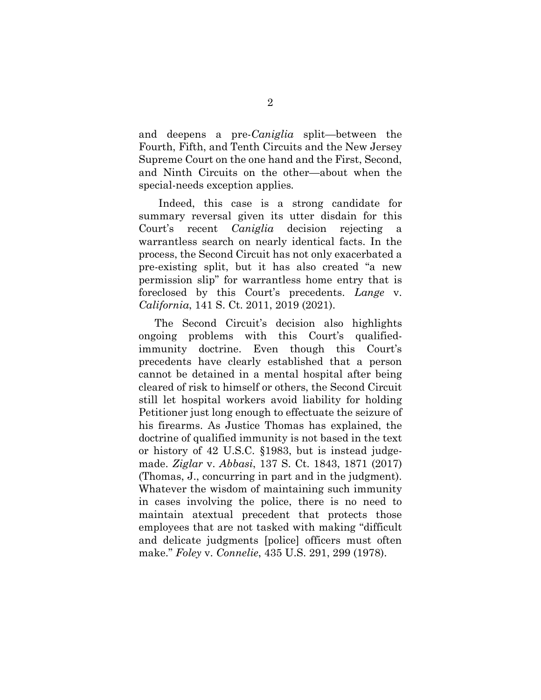and deepens a pre-*Caniglia* split—between the Fourth, Fifth, and Tenth Circuits and the New Jersey Supreme Court on the one hand and the First, Second, and Ninth Circuits on the other—about when the special-needs exception applies*.*

Indeed, this case is a strong candidate for summary reversal given its utter disdain for this Court's recent *Caniglia* decision rejecting a warrantless search on nearly identical facts. In the process, the Second Circuit has not only exacerbated a pre-existing split, but it has also created "a new permission slip" for warrantless home entry that is foreclosed by this Court's precedents. *Lange* v. *California*, 141 S. Ct. 2011, 2019 (2021).

The Second Circuit's decision also highlights ongoing problems with this Court's qualifiedimmunity doctrine. Even though this Court's precedents have clearly established that a person cannot be detained in a mental hospital after being cleared of risk to himself or others, the Second Circuit still let hospital workers avoid liability for holding Petitioner just long enough to effectuate the seizure of his firearms. As Justice Thomas has explained, the doctrine of qualified immunity is not based in the text or history of 42 U.S.C. §1983, but is instead judgemade. *Ziglar* v. *Abbasi*, 137 S. Ct. 1843, 1871 (2017) (Thomas, J., concurring in part and in the judgment). Whatever the wisdom of maintaining such immunity in cases involving the police, there is no need to maintain atextual precedent that protects those employees that are not tasked with making "difficult and delicate judgments [police] officers must often make." *Foley* v. *Connelie*, 435 U.S. 291, 299 (1978).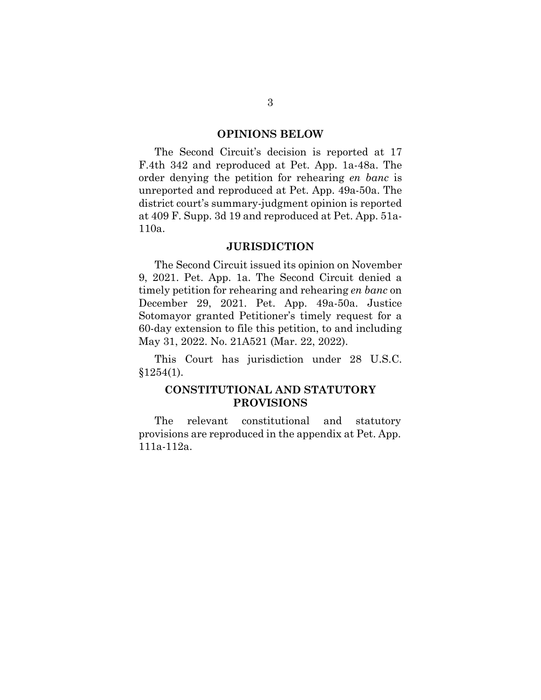#### **OPINIONS BELOW**

<span id="page-14-0"></span>The Second Circuit's decision is reported at 17 F.4th 342 and reproduced at Pet. App. 1a-48a. The order denying the petition for rehearing *en banc* is unreported and reproduced at Pet. App. 49a-50a. The district court's summary-judgment opinion is reported at 409 F. Supp. 3d 19 and reproduced at Pet. App. 51a-110a.

#### **JURISDICTION**

<span id="page-14-1"></span>The Second Circuit issued its opinion on November 9, 2021. Pet. App. 1a. The Second Circuit denied a timely petition for rehearing and rehearing *en banc* on December 29, 2021. Pet. App. 49a-50a. Justice Sotomayor granted Petitioner's timely request for a 60-day extension to file this petition, to and including May 31, 2022. No. 21A521 (Mar. 22, 2022).

This Court has jurisdiction under 28 U.S.C.  $§1254(1).$ 

# <span id="page-14-2"></span>**CONSTITUTIONAL AND STATUTORY PROVISIONS**

The relevant constitutional and statutory provisions are reproduced in the appendix at Pet. App. 111a-112a.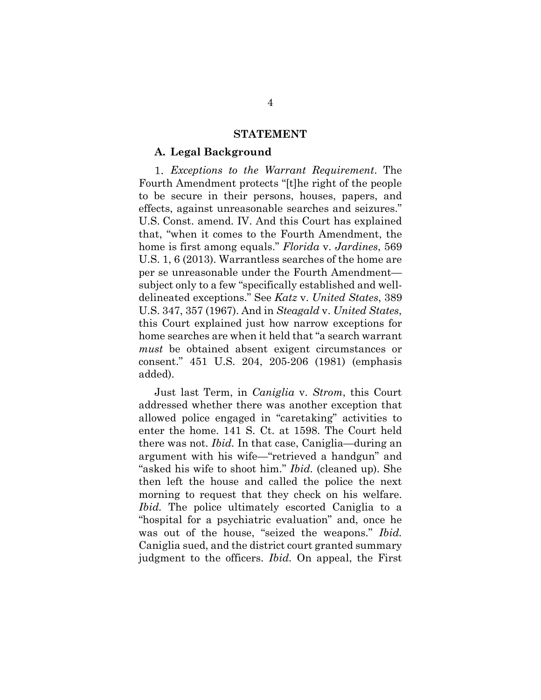#### **STATEMENT**

#### <span id="page-15-1"></span><span id="page-15-0"></span>**A. Legal Background**

*Exceptions to the Warrant Requirement*. The Fourth Amendment protects "[t]he right of the people to be secure in their persons, houses, papers, and effects, against unreasonable searches and seizures." U.S. Const. amend. IV. And this Court has explained that, "when it comes to the Fourth Amendment, the home is first among equals." *Florida* v. *Jardines*, 569 U.S. 1, 6 (2013). Warrantless searches of the home are per se unreasonable under the Fourth Amendment subject only to a few "specifically established and welldelineated exceptions." See *Katz* v. *United States*, 389 U.S. 347, 357 (1967). And in *Steagald* v. *United States*, this Court explained just how narrow exceptions for home searches are when it held that "a search warrant *must* be obtained absent exigent circumstances or consent." 451 U.S. 204, 205-206 (1981) (emphasis added).

Just last Term, in *Caniglia* v. *Strom*, this Court addressed whether there was another exception that allowed police engaged in "caretaking" activities to enter the home. 141 S. Ct. at 1598. The Court held there was not. *Ibid.* In that case, Caniglia—during an argument with his wife—"retrieved a handgun" and "asked his wife to shoot him." *Ibid.* (cleaned up). She then left the house and called the police the next morning to request that they check on his welfare. *Ibid.* The police ultimately escorted Caniglia to a "hospital for a psychiatric evaluation" and, once he was out of the house, "seized the weapons." *Ibid.* Caniglia sued, and the district court granted summary judgment to the officers. *Ibid.* On appeal, the First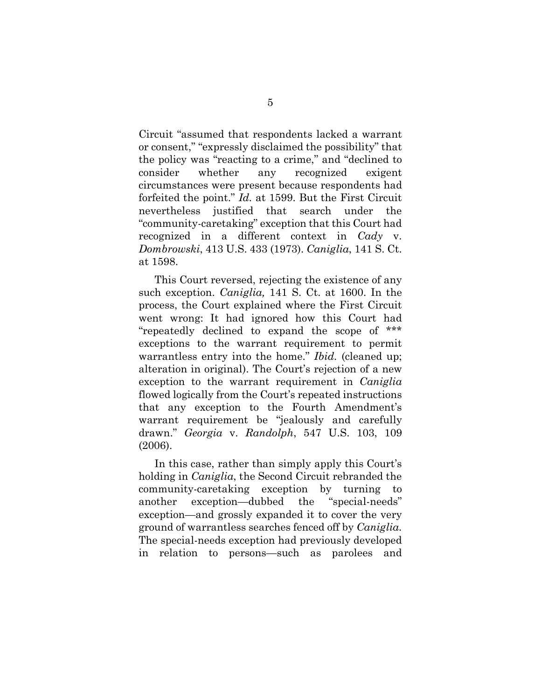Circuit "assumed that respondents lacked a warrant or consent," "expressly disclaimed the possibility" that the policy was "reacting to a crime," and "declined to consider whether any recognized exigent circumstances were present because respondents had forfeited the point." *Id.* at 1599. But the First Circuit nevertheless justified that search under the "community-caretaking" exception that this Court had recognized in a different context in *Cady* v. *Dombrowski*, 413 U.S. 433 (1973). *Caniglia*, 141 S. Ct. at 1598.

This Court reversed, rejecting the existence of any such exception. *Caniglia,* 141 S. Ct. at 1600. In the process, the Court explained where the First Circuit went wrong: It had ignored how this Court had "repeatedly declined to expand the scope of \*\*\* exceptions to the warrant requirement to permit warrantless entry into the home." *Ibid.* (cleaned up; alteration in original). The Court's rejection of a new exception to the warrant requirement in *Caniglia*  flowed logically from the Court's repeated instructions that any exception to the Fourth Amendment's warrant requirement be "jealously and carefully drawn." *Georgia* v. *Randolph*, 547 U.S. 103, 109 (2006).

In this case, rather than simply apply this Court's holding in *Caniglia*, the Second Circuit rebranded the community-caretaking exception by turning to another exception—dubbed the "special-needs" exception—and grossly expanded it to cover the very ground of warrantless searches fenced off by *Caniglia*. The special-needs exception had previously developed in relation to persons—such as parolees and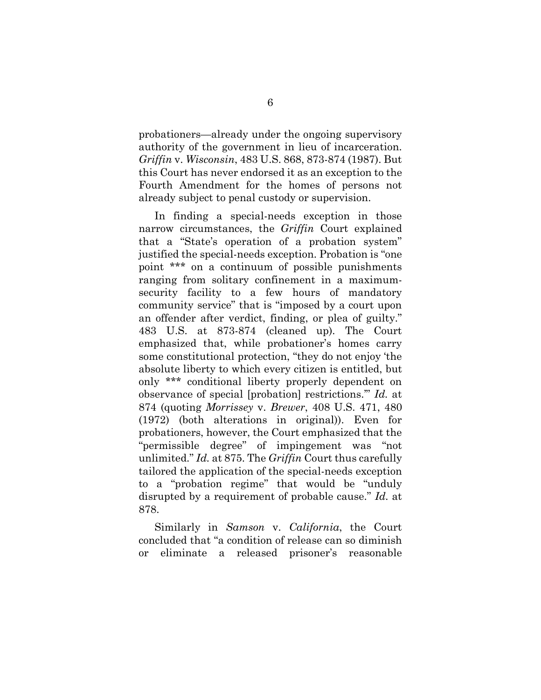probationers—already under the ongoing supervisory authority of the government in lieu of incarceration. *Griffin* v. *Wisconsin*, 483 U.S. 868, 873-874 (1987). But this Court has never endorsed it as an exception to the Fourth Amendment for the homes of persons not already subject to penal custody or supervision.

In finding a special-needs exception in those narrow circumstances, the *Griffin* Court explained that a "State's operation of a probation system" justified the special-needs exception. Probation is "one point \*\*\* on a continuum of possible punishments ranging from solitary confinement in a maximumsecurity facility to a few hours of mandatory community service" that is "imposed by a court upon an offender after verdict, finding, or plea of guilty." 483 U.S. at 873-874 (cleaned up). The Court emphasized that, while probationer's homes carry some constitutional protection, "they do not enjoy 'the absolute liberty to which every citizen is entitled, but only \*\*\* conditional liberty properly dependent on observance of special [probation] restrictions.'" *Id.* at 874 (quoting *Morrissey* v. *Brewer*, 408 U.S. 471, 480 (1972) (both alterations in original)). Even for probationers, however, the Court emphasized that the "permissible degree" of impingement was "not unlimited." *Id.* at 875. The *Griffin* Court thus carefully tailored the application of the special-needs exception to a "probation regime" that would be "unduly disrupted by a requirement of probable cause." *Id.* at 878.

Similarly in *Samson* v. *California*, the Court concluded that "a condition of release can so diminish or eliminate a released prisoner's reasonable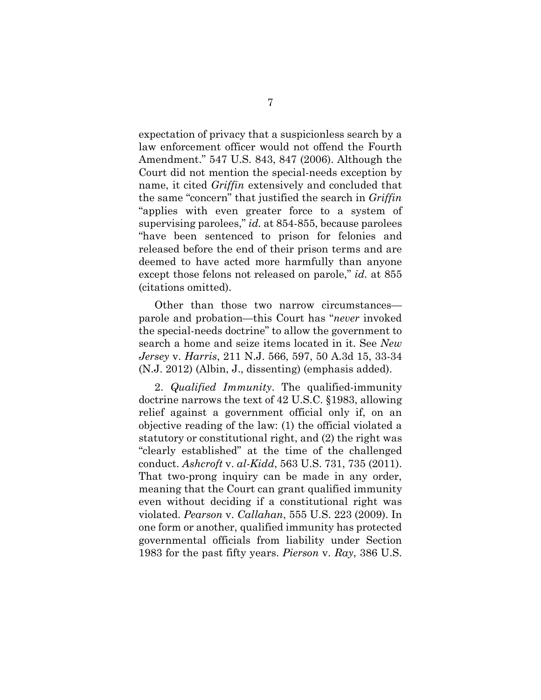expectation of privacy that a suspicionless search by a law enforcement officer would not offend the Fourth Amendment." 547 U.S. 843, 847 (2006). Although the Court did not mention the special-needs exception by name, it cited *Griffin* extensively and concluded that the same "concern" that justified the search in *Griffin* "applies with even greater force to a system of supervising parolees," *id.* at 854-855, because parolees "have been sentenced to prison for felonies and released before the end of their prison terms and are deemed to have acted more harmfully than anyone except those felons not released on parole," *id.* at 855 (citations omitted).

Other than those two narrow circumstances parole and probation—this Court has "*never* invoked the special-needs doctrine" to allow the government to search a home and seize items located in it. See *New Jersey* v. *Harris*, 211 N.J. 566, 597, 50 A.3d 15, 33-34 (N.J. 2012) (Albin, J., dissenting) (emphasis added).

2. *Qualified Immunity*. The qualified-immunity doctrine narrows the text of 42 U.S.C. §1983, allowing relief against a government official only if, on an objective reading of the law: (1) the official violated a statutory or constitutional right, and (2) the right was "clearly established" at the time of the challenged conduct. *Ashcroft* v. *al-Kidd*, 563 U.S. 731, 735 (2011). That two-prong inquiry can be made in any order, meaning that the Court can grant qualified immunity even without deciding if a constitutional right was violated. *Pearson* v. *Callahan*, 555 U.S. 223 (2009). In one form or another, qualified immunity has protected governmental officials from liability under Section 1983 for the past fifty years. *Pierson* v. *Ray*, 386 U.S.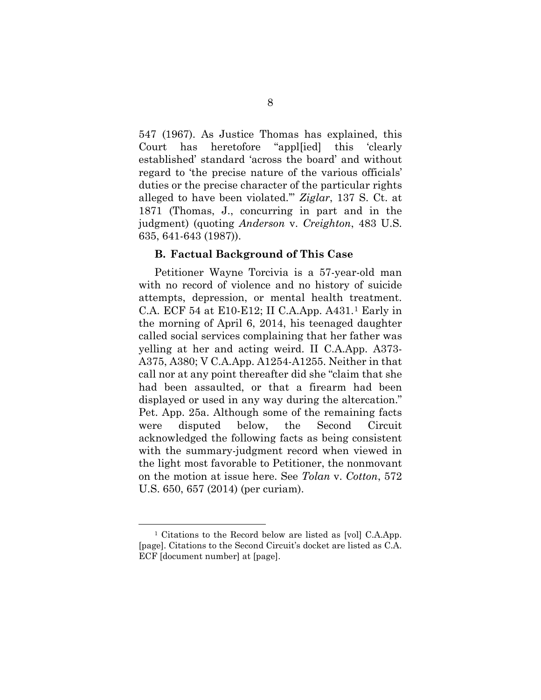547 (1967). As Justice Thomas has explained, this Court has heretofore "appl[ied] this 'clearly established' standard 'across the board' and without regard to 'the precise nature of the various officials' duties or the precise character of the particular rights alleged to have been violated.'" *Ziglar*, 137 S. Ct. at 1871 (Thomas, J., concurring in part and in the judgment) (quoting *Anderson* v. *Creighton*, 483 U.S. 635, 641-643 (1987)).

#### <span id="page-19-0"></span>**B. Factual Background of This Case**

Petitioner Wayne Torcivia is a 57-year-old man with no record of violence and no history of suicide attempts, depression, or mental health treatment. C.A. ECF 54 at E10-E12; II C.A.App. A431.[1](#page-19-1) Early in the morning of April 6, 2014, his teenaged daughter called social services complaining that her father was yelling at her and acting weird. II C.A.App. A373- A375, A380; V C.A.App. A1254-A1255. Neither in that call nor at any point thereafter did she "claim that she had been assaulted, or that a firearm had been displayed or used in any way during the altercation." Pet. App. 25a. Although some of the remaining facts were disputed below, the Second Circuit acknowledged the following facts as being consistent with the summary-judgment record when viewed in the light most favorable to Petitioner, the nonmovant on the motion at issue here. See *Tolan* v. *Cotton*, 572 U.S. 650, 657 (2014) (per curiam).

<span id="page-19-1"></span><sup>1</sup> Citations to the Record below are listed as [vol] C.A.App. [page]. Citations to the Second Circuit's docket are listed as C.A. ECF [document number] at [page].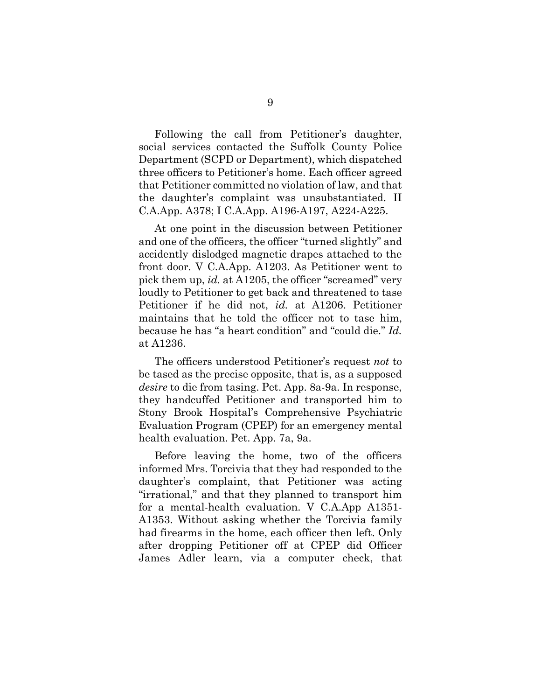Following the call from Petitioner's daughter, social services contacted the Suffolk County Police Department (SCPD or Department), which dispatched three officers to Petitioner's home. Each officer agreed that Petitioner committed no violation of law, and that the daughter's complaint was unsubstantiated. II C.A.App. A378; I C.A.App. A196-A197, A224-A225.

At one point in the discussion between Petitioner and one of the officers, the officer "turned slightly" and accidently dislodged magnetic drapes attached to the front door. V C.A.App. A1203. As Petitioner went to pick them up, *id.* at A1205, the officer "screamed" very loudly to Petitioner to get back and threatened to tase Petitioner if he did not, *id.* at A1206. Petitioner maintains that he told the officer not to tase him, because he has "a heart condition" and "could die." *Id.* at A1236.

The officers understood Petitioner's request *not* to be tased as the precise opposite, that is, as a supposed *desire* to die from tasing. Pet. App. 8a-9a. In response, they handcuffed Petitioner and transported him to Stony Brook Hospital's Comprehensive Psychiatric Evaluation Program (CPEP) for an emergency mental health evaluation. Pet. App. 7a, 9a.

Before leaving the home, two of the officers informed Mrs. Torcivia that they had responded to the daughter's complaint, that Petitioner was acting "irrational," and that they planned to transport him for a mental-health evaluation. V C.A.App A1351- A1353. Without asking whether the Torcivia family had firearms in the home, each officer then left. Only after dropping Petitioner off at CPEP did Officer James Adler learn, via a computer check, that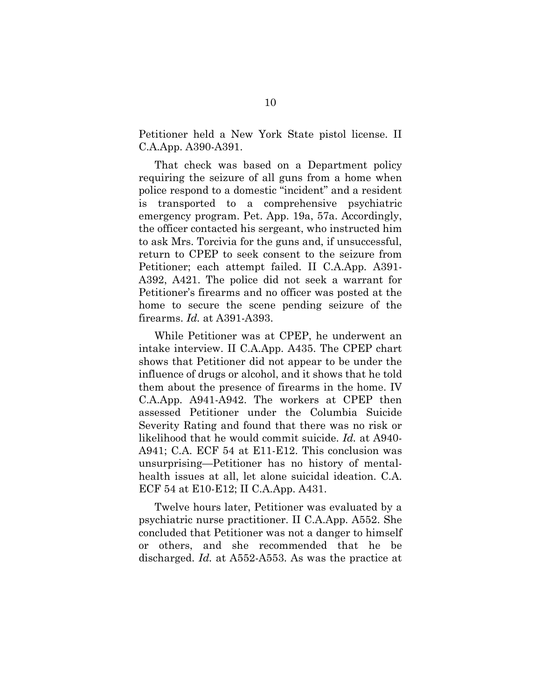Petitioner held a New York State pistol license. II C.A.App. A390-A391.

That check was based on a Department policy requiring the seizure of all guns from a home when police respond to a domestic "incident" and a resident is transported to a comprehensive psychiatric emergency program. Pet. App. 19a, 57a. Accordingly, the officer contacted his sergeant, who instructed him to ask Mrs. Torcivia for the guns and, if unsuccessful, return to CPEP to seek consent to the seizure from Petitioner; each attempt failed. II C.A.App. A391- A392, A421. The police did not seek a warrant for Petitioner's firearms and no officer was posted at the home to secure the scene pending seizure of the firearms. *Id.* at A391-A393.

While Petitioner was at CPEP, he underwent an intake interview. II C.A.App. A435. The CPEP chart shows that Petitioner did not appear to be under the influence of drugs or alcohol, and it shows that he told them about the presence of firearms in the home. IV C.A.App. A941-A942. The workers at CPEP then assessed Petitioner under the Columbia Suicide Severity Rating and found that there was no risk or likelihood that he would commit suicide. *Id.* at A940- A941; C.A. ECF 54 at E11-E12. This conclusion was unsurprising—Petitioner has no history of mentalhealth issues at all, let alone suicidal ideation. C.A. ECF 54 at E10-E12; II C.A.App. A431.

Twelve hours later, Petitioner was evaluated by a psychiatric nurse practitioner. II C.A.App. A552. She concluded that Petitioner was not a danger to himself or others, and she recommended that he be discharged. *Id.* at A552-A553. As was the practice at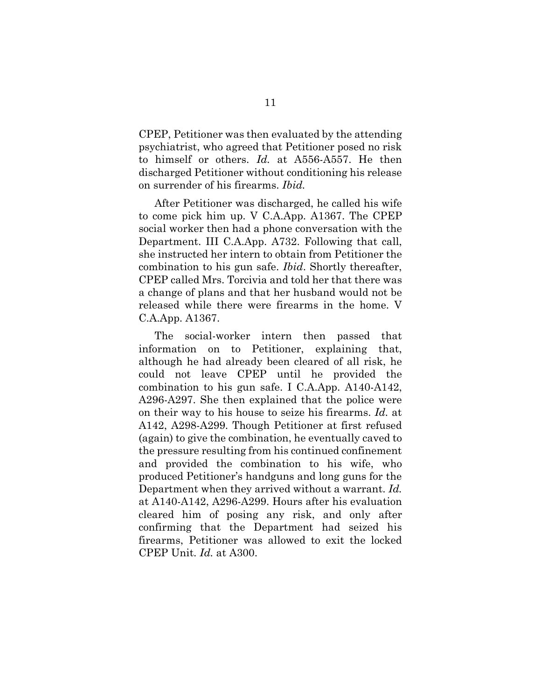CPEP, Petitioner was then evaluated by the attending psychiatrist, who agreed that Petitioner posed no risk to himself or others. *Id.* at A556-A557. He then discharged Petitioner without conditioning his release on surrender of his firearms. *Ibid.*

After Petitioner was discharged, he called his wife to come pick him up. V C.A.App. A1367. The CPEP social worker then had a phone conversation with the Department. III C.A.App. A732. Following that call, she instructed her intern to obtain from Petitioner the combination to his gun safe. *Ibid*. Shortly thereafter, CPEP called Mrs. Torcivia and told her that there was a change of plans and that her husband would not be released while there were firearms in the home. V C.A.App. A1367.

The social-worker intern then passed that information on to Petitioner, explaining that, although he had already been cleared of all risk, he could not leave CPEP until he provided the combination to his gun safe. I C.A.App. A140-A142, A296-A297. She then explained that the police were on their way to his house to seize his firearms. *Id.* at A142, A298-A299. Though Petitioner at first refused (again) to give the combination, he eventually caved to the pressure resulting from his continued confinement and provided the combination to his wife, who produced Petitioner's handguns and long guns for the Department when they arrived without a warrant. *Id.* at A140-A142, A296-A299. Hours after his evaluation cleared him of posing any risk, and only after confirming that the Department had seized his firearms, Petitioner was allowed to exit the locked CPEP Unit. *Id.* at A300.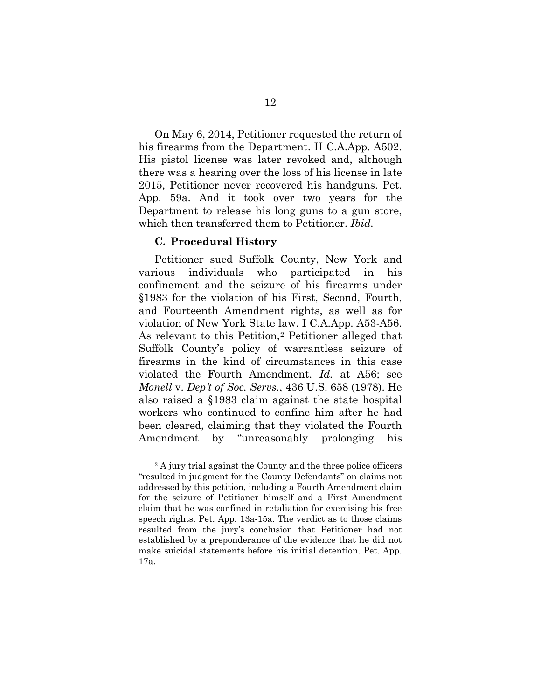On May 6, 2014, Petitioner requested the return of his firearms from the Department. II C.A.App. A502. His pistol license was later revoked and, although there was a hearing over the loss of his license in late 2015, Petitioner never recovered his handguns. Pet. App. 59a. And it took over two years for the Department to release his long guns to a gun store, which then transferred them to Petitioner. *Ibid.*

#### <span id="page-23-0"></span>**C. Procedural History**

Petitioner sued Suffolk County, New York and various individuals who participated in his confinement and the seizure of his firearms under §1983 for the violation of his First, Second, Fourth, and Fourteenth Amendment rights, as well as for violation of New York State law. I C.A.App. A53-A56. As relevant to this Petition,[2](#page-23-1) Petitioner alleged that Suffolk County's policy of warrantless seizure of firearms in the kind of circumstances in this case violated the Fourth Amendment. *Id.* at A56; see *Monell* v. *Dep't of Soc. Servs.*, 436 U.S. 658 (1978). He also raised a §1983 claim against the state hospital workers who continued to confine him after he had been cleared, claiming that they violated the Fourth Amendment by "unreasonably prolonging his

<span id="page-23-1"></span><sup>2</sup> A jury trial against the County and the three police officers "resulted in judgment for the County Defendants" on claims not addressed by this petition, including a Fourth Amendment claim for the seizure of Petitioner himself and a First Amendment claim that he was confined in retaliation for exercising his free speech rights. Pet. App. 13a-15a. The verdict as to those claims resulted from the jury's conclusion that Petitioner had not established by a preponderance of the evidence that he did not make suicidal statements before his initial detention. Pet. App. 17a.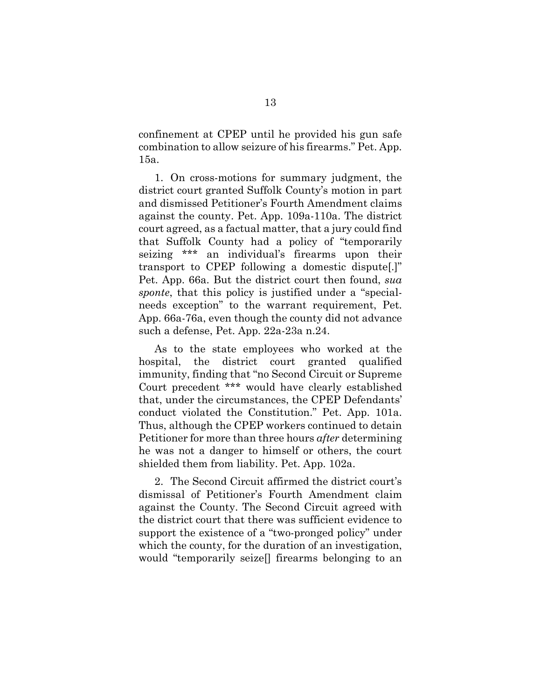confinement at CPEP until he provided his gun safe combination to allow seizure of his firearms." Pet. App. 15a.

1. On cross-motions for summary judgment, the district court granted Suffolk County's motion in part and dismissed Petitioner's Fourth Amendment claims against the county. Pet. App. 109a-110a. The district court agreed, as a factual matter, that a jury could find that Suffolk County had a policy of "temporarily seizing \*\*\* an individual's firearms upon their transport to CPEP following a domestic dispute[.]" Pet. App. 66a. But the district court then found, *sua sponte*, that this policy is justified under a "specialneeds exception" to the warrant requirement, Pet. App. 66a-76a, even though the county did not advance such a defense, Pet. App. 22a-23a n.24.

As to the state employees who worked at the hospital, the district court granted qualified immunity, finding that "no Second Circuit or Supreme Court precedent \*\*\* would have clearly established that, under the circumstances, the CPEP Defendants' conduct violated the Constitution." Pet. App. 101a. Thus, although the CPEP workers continued to detain Petitioner for more than three hours *after* determining he was not a danger to himself or others, the court shielded them from liability. Pet. App. 102a.

2. The Second Circuit affirmed the district court's dismissal of Petitioner's Fourth Amendment claim against the County. The Second Circuit agreed with the district court that there was sufficient evidence to support the existence of a "two-pronged policy" under which the county, for the duration of an investigation, would "temporarily seize[] firearms belonging to an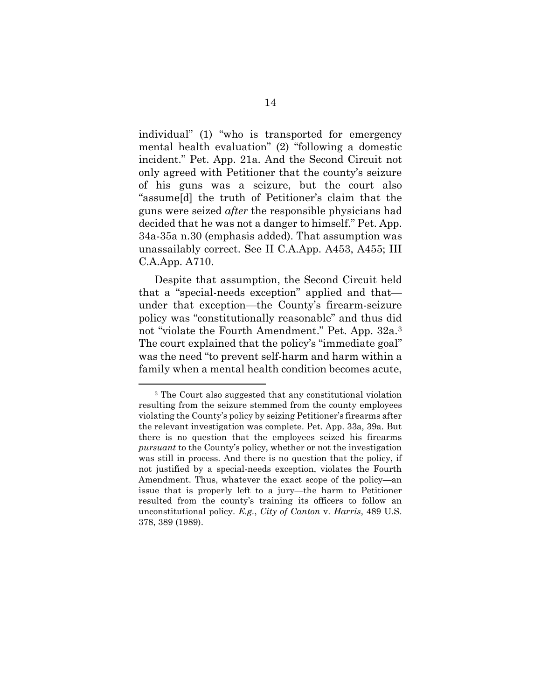individual" (1) "who is transported for emergency mental health evaluation" (2) "following a domestic incident." Pet. App. 21a. And the Second Circuit not only agreed with Petitioner that the county's seizure of his guns was a seizure, but the court also "assume[d] the truth of Petitioner's claim that the guns were seized *after* the responsible physicians had decided that he was not a danger to himself." Pet. App. 34a-35a n.30 (emphasis added). That assumption was unassailably correct. See II C.A.App. A453, A455; III C.A.App. A710.

Despite that assumption, the Second Circuit held that a "special-needs exception" applied and that under that exception—the County's firearm-seizure policy was "constitutionally reasonable" and thus did not "violate the Fourth Amendment." Pet. App. 32a.[3](#page-25-0) The court explained that the policy's "immediate goal" was the need "to prevent self-harm and harm within a family when a mental health condition becomes acute,

<span id="page-25-0"></span><sup>3</sup> The Court also suggested that any constitutional violation resulting from the seizure stemmed from the county employees violating the County's policy by seizing Petitioner's firearms after the relevant investigation was complete. Pet. App. 33a, 39a. But there is no question that the employees seized his firearms *pursuant* to the County's policy, whether or not the investigation was still in process. And there is no question that the policy, if not justified by a special-needs exception, violates the Fourth Amendment. Thus, whatever the exact scope of the policy—an issue that is properly left to a jury—the harm to Petitioner resulted from the county's training its officers to follow an unconstitutional policy. *E.g.*, *City of Canton* v. *Harris*, 489 U.S. 378, 389 (1989).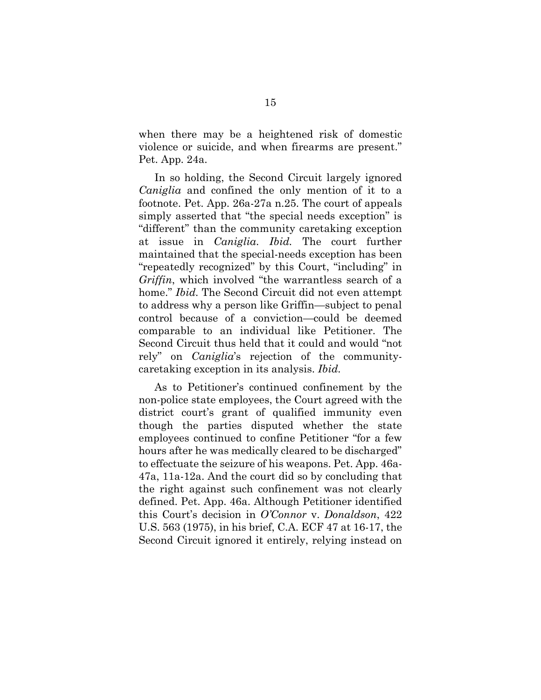when there may be a heightened risk of domestic violence or suicide, and when firearms are present." Pet. App. 24a.

In so holding, the Second Circuit largely ignored *Caniglia* and confined the only mention of it to a footnote. Pet. App. 26a-27a n.25. The court of appeals simply asserted that "the special needs exception" is "different" than the community caretaking exception at issue in *Caniglia*. *Ibid.* The court further maintained that the special-needs exception has been "repeatedly recognized" by this Court, "including" in *Griffin*, which involved "the warrantless search of a home." *Ibid.* The Second Circuit did not even attempt to address why a person like Griffin—subject to penal control because of a conviction—could be deemed comparable to an individual like Petitioner. The Second Circuit thus held that it could and would "not rely" on *Caniglia*'s rejection of the communitycaretaking exception in its analysis. *Ibid.*

As to Petitioner's continued confinement by the non-police state employees, the Court agreed with the district court's grant of qualified immunity even though the parties disputed whether the state employees continued to confine Petitioner "for a few hours after he was medically cleared to be discharged" to effectuate the seizure of his weapons. Pet. App. 46a-47a, 11a-12a. And the court did so by concluding that the right against such confinement was not clearly defined. Pet. App. 46a. Although Petitioner identified this Court's decision in *O'Connor* v. *Donaldson*, 422 U.S. 563 (1975), in his brief, C.A. ECF 47 at 16-17, the Second Circuit ignored it entirely, relying instead on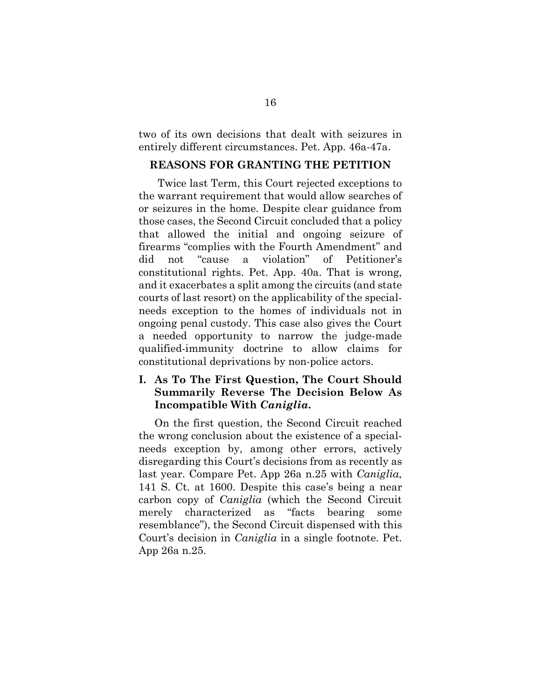two of its own decisions that dealt with seizures in entirely different circumstances. Pet. App. 46a-47a.

#### <span id="page-27-0"></span>**REASONS FOR GRANTING THE PETITION**

Twice last Term, this Court rejected exceptions to the warrant requirement that would allow searches of or seizures in the home. Despite clear guidance from those cases, the Second Circuit concluded that a policy that allowed the initial and ongoing seizure of firearms "complies with the Fourth Amendment" and did not "cause a violation" of Petitioner's constitutional rights. Pet. App. 40a. That is wrong, and it exacerbates a split among the circuits (and state courts of last resort) on the applicability of the specialneeds exception to the homes of individuals not in ongoing penal custody. This case also gives the Court a needed opportunity to narrow the judge-made qualified-immunity doctrine to allow claims for constitutional deprivations by non-police actors.

# <span id="page-27-1"></span>**I. As To The First Question, The Court Should Summarily Reverse The Decision Below As Incompatible With** *Caniglia***.**

On the first question, the Second Circuit reached the wrong conclusion about the existence of a specialneeds exception by, among other errors, actively disregarding this Court's decisions from as recently as last year. Compare Pet. App 26a n.25 with *Caniglia*, 141 S. Ct. at 1600. Despite this case's being a near carbon copy of *Caniglia* (which the Second Circuit merely characterized as "facts bearing some resemblance"), the Second Circuit dispensed with this Court's decision in *Caniglia* in a single footnote. Pet. App 26a n.25.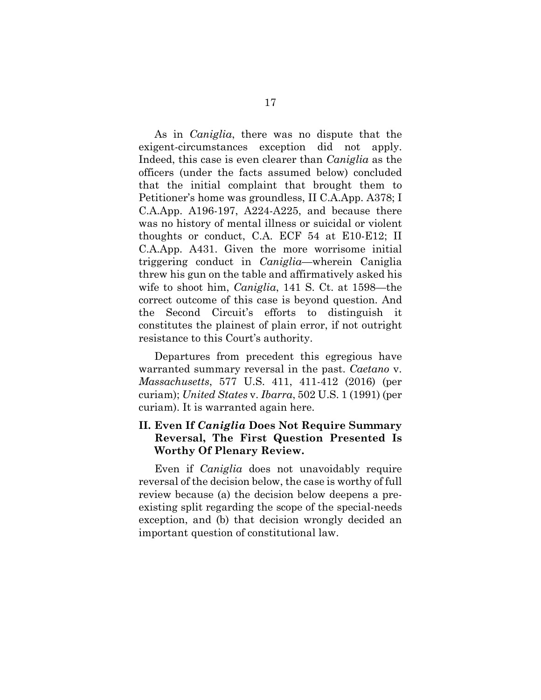As in *Caniglia*, there was no dispute that the exigent-circumstances exception did not apply. Indeed, this case is even clearer than *Caniglia* as the officers (under the facts assumed below) concluded that the initial complaint that brought them to Petitioner's home was groundless, II C.A.App. A378; I C.A.App. A196-197, A224-A225, and because there was no history of mental illness or suicidal or violent thoughts or conduct, C.A. ECF 54 at E10-E12; II C.A.App. A431. Given the more worrisome initial triggering conduct in *Caniglia*—wherein Caniglia threw his gun on the table and affirmatively asked his wife to shoot him, *Caniglia*, 141 S. Ct. at 1598—the correct outcome of this case is beyond question. And the Second Circuit's efforts to distinguish it constitutes the plainest of plain error, if not outright resistance to this Court's authority.

Departures from precedent this egregious have warranted summary reversal in the past. *Caetano* v. *Massachusetts*, 577 U.S. 411, 411-412 (2016) (per curiam); *United States* v. *Ibarra*, 502 U.S. 1 (1991) (per curiam). It is warranted again here.

# <span id="page-28-0"></span>**II. Even If** *Caniglia* **Does Not Require Summary Reversal, The First Question Presented Is Worthy Of Plenary Review.**

Even if *Caniglia* does not unavoidably require reversal of the decision below, the case is worthy of full review because (a) the decision below deepens a preexisting split regarding the scope of the special-needs exception, and (b) that decision wrongly decided an important question of constitutional law.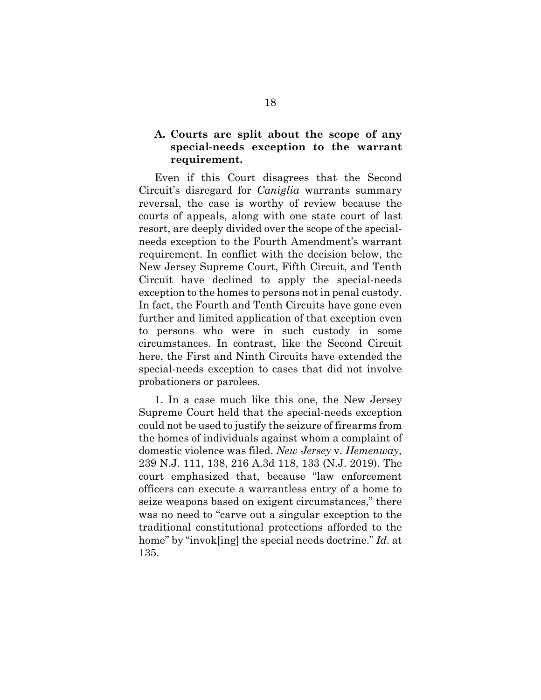# <span id="page-29-0"></span>**A. Courts are split about the scope of any special-needs exception to the warrant requirement.**

Even if this Court disagrees that the Second Circuit's disregard for *Caniglia* warrants summary reversal, the case is worthy of review because the courts of appeals, along with one state court of last resort, are deeply divided over the scope of the specialneeds exception to the Fourth Amendment's warrant requirement. In conflict with the decision below, the New Jersey Supreme Court, Fifth Circuit, and Tenth Circuit have declined to apply the special-needs exception to the homes to persons not in penal custody. In fact, the Fourth and Tenth Circuits have gone even further and limited application of that exception even to persons who were in such custody in some circumstances. In contrast, like the Second Circuit here, the First and Ninth Circuits have extended the special-needs exception to cases that did not involve probationers or parolees.

1. In a case much like this one, the New Jersey Supreme Court held that the special-needs exception could not be used to justify the seizure of firearms from the homes of individuals against whom a complaint of domestic violence was filed. *New Jersey* v. *Hemenway*, 239 N.J. 111, 138, 216 A.3d 118, 133 (N.J. 2019). The court emphasized that, because "law enforcement officers can execute a warrantless entry of a home to seize weapons based on exigent circumstances," there was no need to "carve out a singular exception to the traditional constitutional protections afforded to the home" by "invok[ing] the special needs doctrine." *Id.* at 135.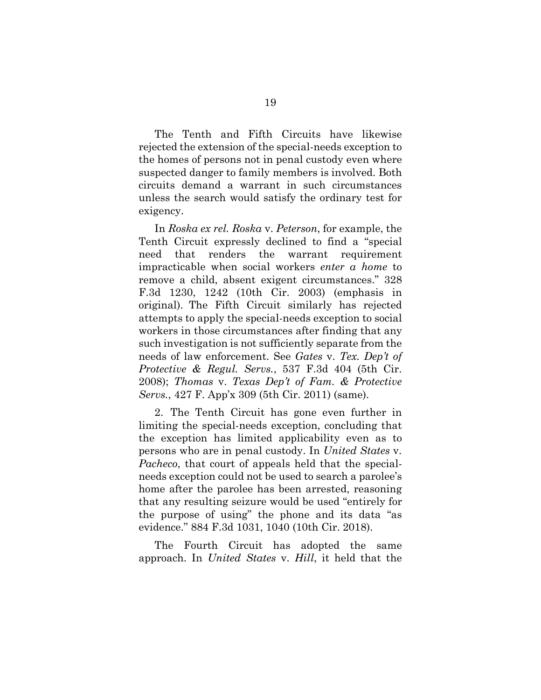The Tenth and Fifth Circuits have likewise rejected the extension of the special-needs exception to the homes of persons not in penal custody even where suspected danger to family members is involved. Both circuits demand a warrant in such circumstances unless the search would satisfy the ordinary test for exigency.

In *Roska ex rel. Roska* v. *Peterson*, for example, the Tenth Circuit expressly declined to find a "special need that renders the warrant requirement impracticable when social workers *enter a home* to remove a child, absent exigent circumstances." 328 F.3d 1230, 1242 (10th Cir. 2003) (emphasis in original). The Fifth Circuit similarly has rejected attempts to apply the special-needs exception to social workers in those circumstances after finding that any such investigation is not sufficiently separate from the needs of law enforcement. See *Gates* v. *Tex. Dep't of Protective & Regul. Servs.*, 537 F.3d 404 (5th Cir. 2008); *Thomas* v. *Texas Dep't of Fam. & Protective Servs.*, 427 F. App'x 309 (5th Cir. 2011) (same).

2. The Tenth Circuit has gone even further in limiting the special-needs exception, concluding that the exception has limited applicability even as to persons who are in penal custody. In *United States* v. *Pacheco*, that court of appeals held that the specialneeds exception could not be used to search a parolee's home after the parolee has been arrested, reasoning that any resulting seizure would be used "entirely for the purpose of using" the phone and its data "as evidence." 884 F.3d 1031, 1040 (10th Cir. 2018).

The Fourth Circuit has adopted the same approach. In *United States* v. *Hill*, it held that the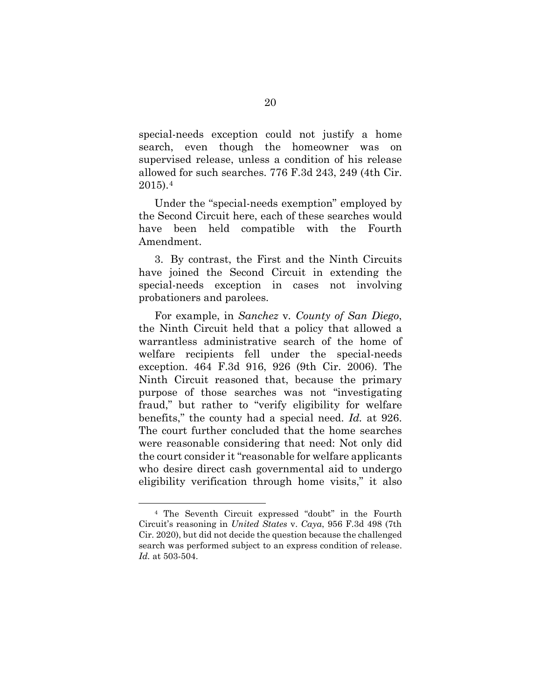special-needs exception could not justify a home search, even though the homeowner was on supervised release, unless a condition of his release allowed for such searches. 776 F.3d 243, 249 (4th Cir. 2015).[4](#page-31-0)

Under the "special-needs exemption" employed by the Second Circuit here, each of these searches would have been held compatible with the Fourth Amendment.

3. By contrast, the First and the Ninth Circuits have joined the Second Circuit in extending the special-needs exception in cases not involving probationers and parolees.

For example, in *Sanchez* v*. County of San Diego*, the Ninth Circuit held that a policy that allowed a warrantless administrative search of the home of welfare recipients fell under the special-needs exception. 464 F.3d 916, 926 (9th Cir. 2006). The Ninth Circuit reasoned that, because the primary purpose of those searches was not "investigating fraud," but rather to "verify eligibility for welfare benefits," the county had a special need. *Id.* at 926. The court further concluded that the home searches were reasonable considering that need: Not only did the court consider it "reasonable for welfare applicants who desire direct cash governmental aid to undergo eligibility verification through home visits," it also

<span id="page-31-0"></span><sup>4</sup> The Seventh Circuit expressed "doubt" in the Fourth Circuit's reasoning in *United States* v. *Caya*, 956 F.3d 498 (7th Cir. 2020), but did not decide the question because the challenged search was performed subject to an express condition of release. *Id.* at 503-504.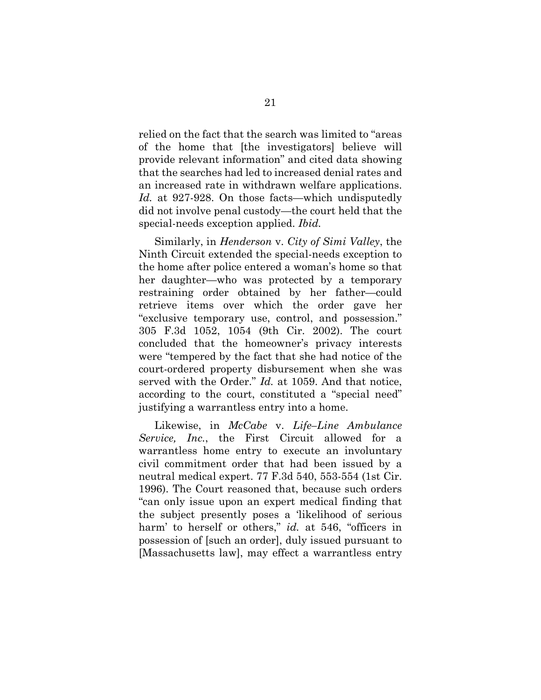relied on the fact that the search was limited to "areas of the home that [the investigators] believe will provide relevant information" and cited data showing that the searches had led to increased denial rates and an increased rate in withdrawn welfare applications. *Id.* at 927-928. On those facts—which undisputedly did not involve penal custody—the court held that the special-needs exception applied. *Ibid.*

Similarly, in *Henderson* v. *City of Simi Valley*, the Ninth Circuit extended the special-needs exception to the home after police entered a woman's home so that her daughter—who was protected by a temporary restraining order obtained by her father—could retrieve items over which the order gave her "exclusive temporary use, control, and possession." 305 F.3d 1052, 1054 (9th Cir. 2002). The court concluded that the homeowner's privacy interests were "tempered by the fact that she had notice of the court-ordered property disbursement when she was served with the Order." *Id.* at 1059. And that notice, according to the court, constituted a "special need" justifying a warrantless entry into a home.

Likewise, in *McCabe* v. *Life–Line Ambulance Service, Inc.*, the First Circuit allowed for a warrantless home entry to execute an involuntary civil commitment order that had been issued by a neutral medical expert. 77 F.3d 540, 553-554 (1st Cir. 1996). The Court reasoned that, because such orders "can only issue upon an expert medical finding that the subject presently poses a 'likelihood of serious harm' to herself or others," *id.* at 546, "officers in possession of [such an order], duly issued pursuant to [Massachusetts law], may effect a warrantless entry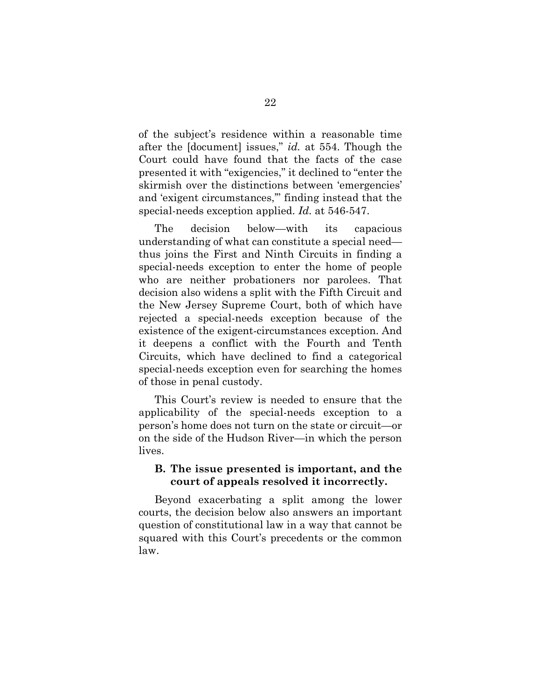of the subject's residence within a reasonable time after the [document] issues," *id.* at 554. Though the Court could have found that the facts of the case presented it with "exigencies," it declined to "enter the skirmish over the distinctions between 'emergencies' and 'exigent circumstances,'" finding instead that the special-needs exception applied. *Id.* at 546-547.

The decision below—with its capacious understanding of what can constitute a special need thus joins the First and Ninth Circuits in finding a special-needs exception to enter the home of people who are neither probationers nor parolees. That decision also widens a split with the Fifth Circuit and the New Jersey Supreme Court, both of which have rejected a special-needs exception because of the existence of the exigent-circumstances exception. And it deepens a conflict with the Fourth and Tenth Circuits, which have declined to find a categorical special-needs exception even for searching the homes of those in penal custody.

This Court's review is needed to ensure that the applicability of the special-needs exception to a person's home does not turn on the state or circuit—or on the side of the Hudson River—in which the person lives.

## <span id="page-33-0"></span>**B. The issue presented is important, and the court of appeals resolved it incorrectly.**

Beyond exacerbating a split among the lower courts, the decision below also answers an important question of constitutional law in a way that cannot be squared with this Court's precedents or the common law.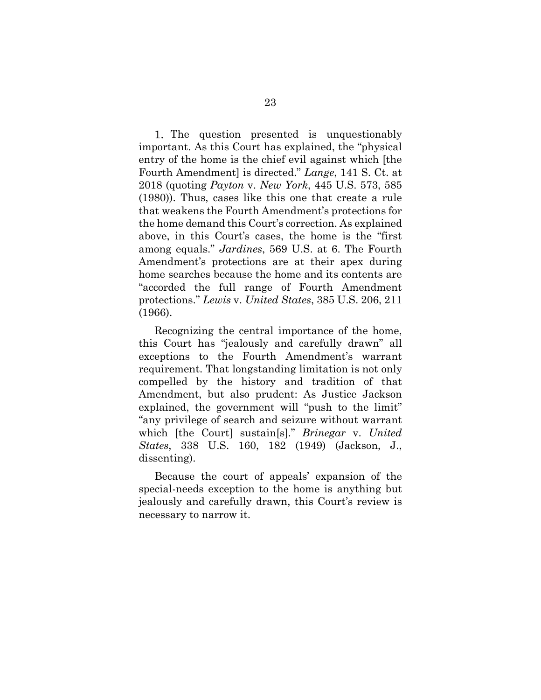1. The question presented is unquestionably important. As this Court has explained, the "physical entry of the home is the chief evil against which [the Fourth Amendment] is directed." *Lange*, 141 S. Ct. at 2018 (quoting *Payton* v. *New York*, 445 U.S. 573, 585 (1980)). Thus, cases like this one that create a rule that weakens the Fourth Amendment's protections for the home demand this Court's correction. As explained above, in this Court's cases, the home is the "first among equals." *Jardines*, 569 U.S. at 6. The Fourth Amendment's protections are at their apex during home searches because the home and its contents are "accorded the full range of Fourth Amendment protections." *Lewis* v. *United States*, 385 U.S. 206, 211 (1966).

Recognizing the central importance of the home, this Court has "jealously and carefully drawn" all exceptions to the Fourth Amendment's warrant requirement. That longstanding limitation is not only compelled by the history and tradition of that Amendment, but also prudent: As Justice Jackson explained, the government will "push to the limit" "any privilege of search and seizure without warrant which [the Court] sustain[s]." *Brinegar* v. *United States*, 338 U.S. 160, 182 (1949) (Jackson, J., dissenting).

Because the court of appeals' expansion of the special-needs exception to the home is anything but jealously and carefully drawn, this Court's review is necessary to narrow it.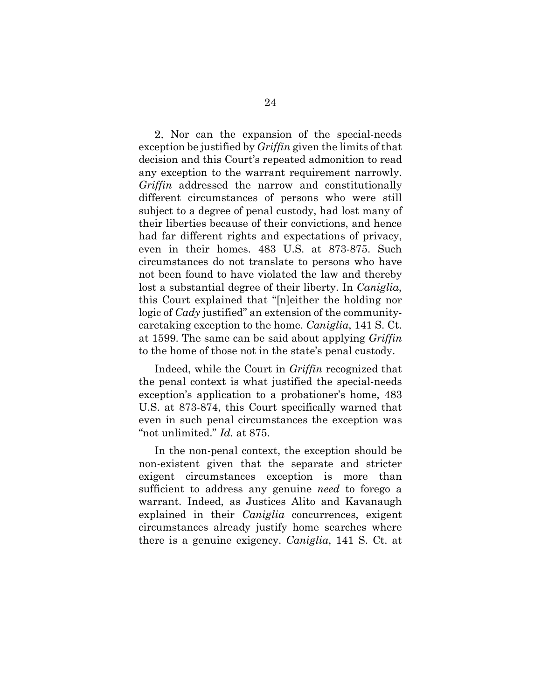2. Nor can the expansion of the special-needs exception be justified by *Griffin* given the limits of that decision and this Court's repeated admonition to read any exception to the warrant requirement narrowly. *Griffin* addressed the narrow and constitutionally different circumstances of persons who were still subject to a degree of penal custody, had lost many of their liberties because of their convictions, and hence had far different rights and expectations of privacy, even in their homes. 483 U.S. at 873-875. Such circumstances do not translate to persons who have not been found to have violated the law and thereby lost a substantial degree of their liberty. In *Caniglia*, this Court explained that "[n]either the holding nor logic of *Cady* justified" an extension of the communitycaretaking exception to the home. *Caniglia*, 141 S. Ct. at 1599. The same can be said about applying *Griffin* to the home of those not in the state's penal custody.

Indeed, while the Court in *Griffin* recognized that the penal context is what justified the special-needs exception's application to a probationer's home, 483 U.S. at 873-874, this Court specifically warned that even in such penal circumstances the exception was "not unlimited." *Id.* at 875.

In the non-penal context, the exception should be non-existent given that the separate and stricter exigent circumstances exception is more than sufficient to address any genuine *need* to forego a warrant. Indeed, as Justices Alito and Kavanaugh explained in their *Caniglia* concurrences, exigent circumstances already justify home searches where there is a genuine exigency. *Caniglia*, 141 S. Ct. at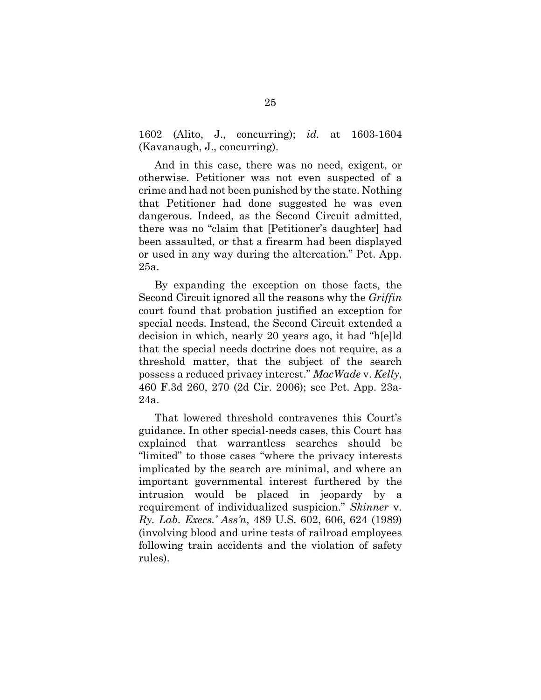1602 (Alito, J., concurring); *id.* at 1603-1604 (Kavanaugh, J., concurring).

And in this case, there was no need, exigent, or otherwise. Petitioner was not even suspected of a crime and had not been punished by the state. Nothing that Petitioner had done suggested he was even dangerous. Indeed, as the Second Circuit admitted, there was no "claim that [Petitioner's daughter] had been assaulted, or that a firearm had been displayed or used in any way during the altercation." Pet. App. 25a.

By expanding the exception on those facts, the Second Circuit ignored all the reasons why the *Griffin* court found that probation justified an exception for special needs. Instead, the Second Circuit extended a decision in which, nearly 20 years ago, it had "h[e]ld that the special needs doctrine does not require, as a threshold matter, that the subject of the search possess a reduced privacy interest." *MacWade* v. *Kelly*, 460 F.3d 260, 270 (2d Cir. 2006); see Pet. App. 23a-24a.

That lowered threshold contravenes this Court's guidance. In other special-needs cases, this Court has explained that warrantless searches should be "limited" to those cases "where the privacy interests implicated by the search are minimal, and where an important governmental interest furthered by the intrusion would be placed in jeopardy by a requirement of individualized suspicion." *Skinner* v. *Ry. Lab. Execs.' Ass'n*, 489 U.S. 602, 606, 624 (1989) (involving blood and urine tests of railroad employees following train accidents and the violation of safety rules).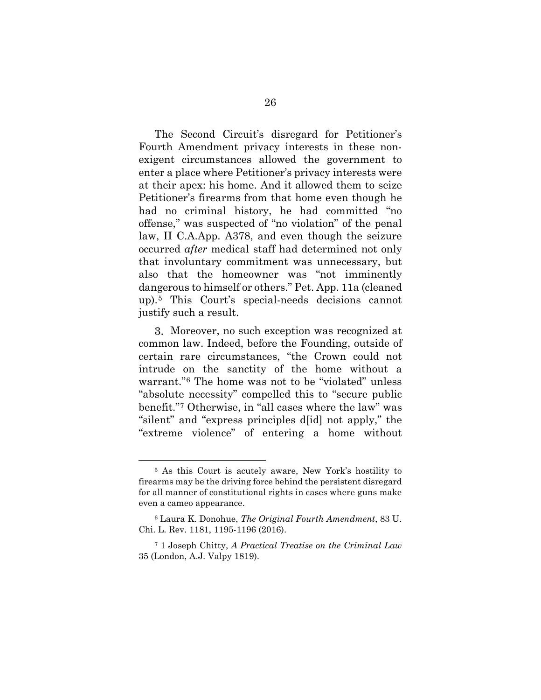The Second Circuit's disregard for Petitioner's Fourth Amendment privacy interests in these nonexigent circumstances allowed the government to enter a place where Petitioner's privacy interests were at their apex: his home. And it allowed them to seize Petitioner's firearms from that home even though he had no criminal history, he had committed "no offense," was suspected of "no violation" of the penal law, II C.A.App. A378, and even though the seizure occurred *after* medical staff had determined not only that involuntary commitment was unnecessary, but also that the homeowner was "not imminently dangerous to himself or others." Pet. App. 11a (cleaned up).[5](#page-37-0) This Court's special-needs decisions cannot justify such a result.

Moreover, no such exception was recognized at common law. Indeed, before the Founding, outside of certain rare circumstances, "the Crown could not intrude on the sanctity of the home without a warrant."[6](#page-37-1) The home was not to be "violated" unless "absolute necessity" compelled this to "secure public benefit."[7](#page-37-2) Otherwise, in "all cases where the law" was "silent" and "express principles d[id] not apply," the "extreme violence" of entering a home without

<span id="page-37-0"></span><sup>5</sup> As this Court is acutely aware, New York's hostility to firearms may be the driving force behind the persistent disregard for all manner of constitutional rights in cases where guns make even a cameo appearance.

<span id="page-37-1"></span><sup>6</sup> Laura K. Donohue, *The Original Fourth Amendment*, 83 U. Chi. L. Rev. 1181, 1195-1196 (2016).

<span id="page-37-2"></span><sup>7</sup> 1 Joseph Chitty, *A Practical Treatise on the Criminal Law* 35 (London, A.J. Valpy 1819).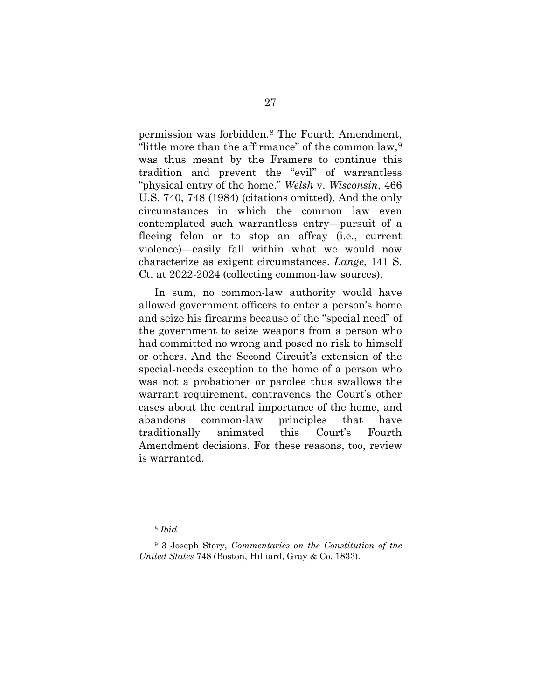permission was forbidden.[8](#page-38-0) The Fourth Amendment, "little more than the affirmance" of the common law,[9](#page-38-1) was thus meant by the Framers to continue this tradition and prevent the "evil" of warrantless "physical entry of the home." *Welsh* v. *Wisconsin*, 466 U.S. 740, 748 (1984) (citations omitted). And the only circumstances in which the common law even contemplated such warrantless entry—pursuit of a fleeing felon or to stop an affray (i.e., current violence)—easily fall within what we would now characterize as exigent circumstances. *Lange*, 141 S. Ct. at 2022-2024 (collecting common-law sources).

In sum, no common-law authority would have allowed government officers to enter a person's home and seize his firearms because of the "special need" of the government to seize weapons from a person who had committed no wrong and posed no risk to himself or others. And the Second Circuit's extension of the special-needs exception to the home of a person who was not a probationer or parolee thus swallows the warrant requirement, contravenes the Court's other cases about the central importance of the home, and abandons common-law principles that have traditionally animated this Court's Fourth Amendment decisions. For these reasons, too, review is warranted.

<sup>8</sup> *Ibid.*

<span id="page-38-1"></span><span id="page-38-0"></span><sup>9</sup> 3 Joseph Story, *Commentaries on the Constitution of the United States* 748 (Boston, Hilliard, Gray & Co. 1833).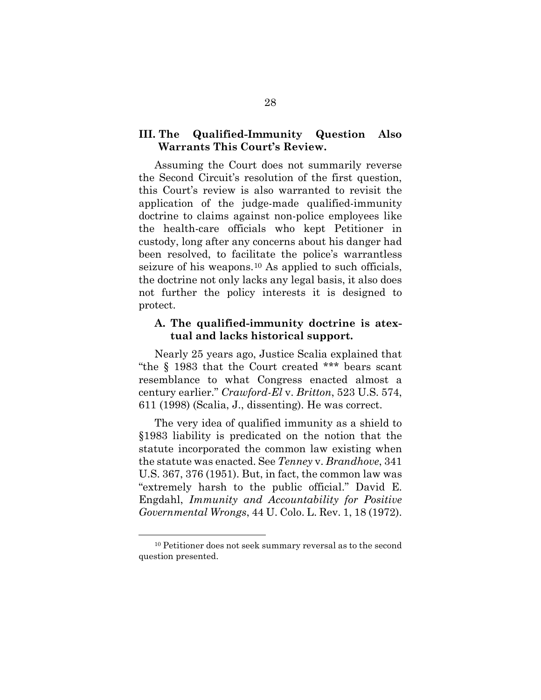## <span id="page-39-0"></span>**III. The Qualified-Immunity Question Also Warrants This Court's Review.**

Assuming the Court does not summarily reverse the Second Circuit's resolution of the first question, this Court's review is also warranted to revisit the application of the judge-made qualified-immunity doctrine to claims against non-police employees like the health-care officials who kept Petitioner in custody, long after any concerns about his danger had been resolved, to facilitate the police's warrantless seizure of his weapons.[10](#page-39-2) As applied to such officials, the doctrine not only lacks any legal basis, it also does not further the policy interests it is designed to protect.

### <span id="page-39-1"></span>**A. The qualified-immunity doctrine is atextual and lacks historical support.**

Nearly 25 years ago, Justice Scalia explained that "the § 1983 that the Court created \*\*\* bears scant resemblance to what Congress enacted almost a century earlier." *Crawford-El* v. *Britton*, 523 U.S. 574, 611 (1998) (Scalia, J., dissenting). He was correct.

The very idea of qualified immunity as a shield to §1983 liability is predicated on the notion that the statute incorporated the common law existing when the statute was enacted. See *Tenney* v. *Brandhove*, 341 U.S. 367, 376 (1951). But, in fact, the common law was "extremely harsh to the public official." David E. Engdahl, *Immunity and Accountability for Positive Governmental Wrongs*, 44 U. Colo. L. Rev. 1, 18 (1972).

<span id="page-39-2"></span><sup>10</sup> Petitioner does not seek summary reversal as to the second question presented.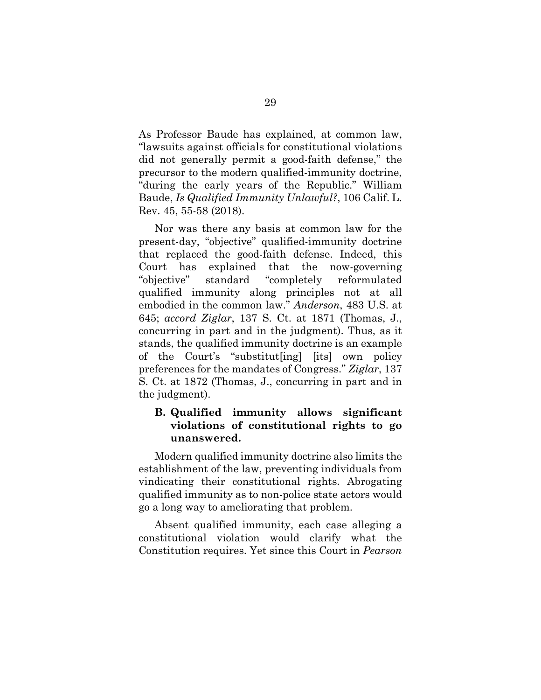As Professor Baude has explained, at common law, "lawsuits against officials for constitutional violations did not generally permit a good-faith defense," the precursor to the modern qualified-immunity doctrine, "during the early years of the Republic." William Baude, *Is Qualified Immunity Unlawful?*, 106 Calif. L. Rev. 45, 55-58 (2018).

Nor was there any basis at common law for the present-day, "objective" qualified-immunity doctrine that replaced the good-faith defense. Indeed, this Court has explained that the now-governing "objective" standard "completely reformulated qualified immunity along principles not at all embodied in the common law." *Anderson*, 483 U.S. at 645; *accord Ziglar*, 137 S. Ct. at 1871 (Thomas, J., concurring in part and in the judgment). Thus, as it stands, the qualified immunity doctrine is an example of the Court's "substitut[ing] [its] own policy preferences for the mandates of Congress." *Ziglar*, 137 S. Ct. at 1872 (Thomas, J., concurring in part and in the judgment).

# <span id="page-40-0"></span>**B. Qualified immunity allows significant violations of constitutional rights to go unanswered.**

Modern qualified immunity doctrine also limits the establishment of the law, preventing individuals from vindicating their constitutional rights. Abrogating qualified immunity as to non-police state actors would go a long way to ameliorating that problem.

Absent qualified immunity, each case alleging a constitutional violation would clarify what the Constitution requires. Yet since this Court in *Pearson*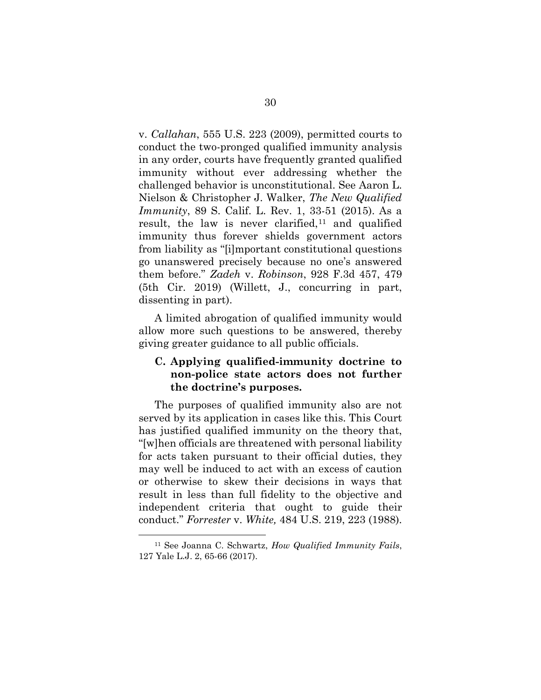v. *Callahan*, 555 U.S. 223 (2009), permitted courts to conduct the two-pronged qualified immunity analysis in any order, courts have frequently granted qualified immunity without ever addressing whether the challenged behavior is unconstitutional. See Aaron L. Nielson & Christopher J. Walker, *The New Qualified Immunity*, 89 S. Calif. L. Rev. 1, 33-51 (2015). As a result, the law is never clarified, $11$  and qualified immunity thus forever shields government actors from liability as "[i]mportant constitutional questions go unanswered precisely because no one's answered them before." *Zadeh* v. *Robinson*, 928 F.3d 457, 479 (5th Cir. 2019) (Willett, J., concurring in part, dissenting in part).

A limited abrogation of qualified immunity would allow more such questions to be answered, thereby giving greater guidance to all public officials.

# <span id="page-41-0"></span>**C. Applying qualified-immunity doctrine to non-police state actors does not further the doctrine's purposes.**

The purposes of qualified immunity also are not served by its application in cases like this. This Court has justified qualified immunity on the theory that, "[w]hen officials are threatened with personal liability for acts taken pursuant to their official duties, they may well be induced to act with an excess of caution or otherwise to skew their decisions in ways that result in less than full fidelity to the objective and independent criteria that ought to guide their conduct." *Forrester* v. *White,* 484 U.S. 219, 223 (1988).

<span id="page-41-1"></span><sup>11</sup> See Joanna C. Schwartz, *How Qualified Immunity Fails*, 127 Yale L.J. 2, 65-66 (2017).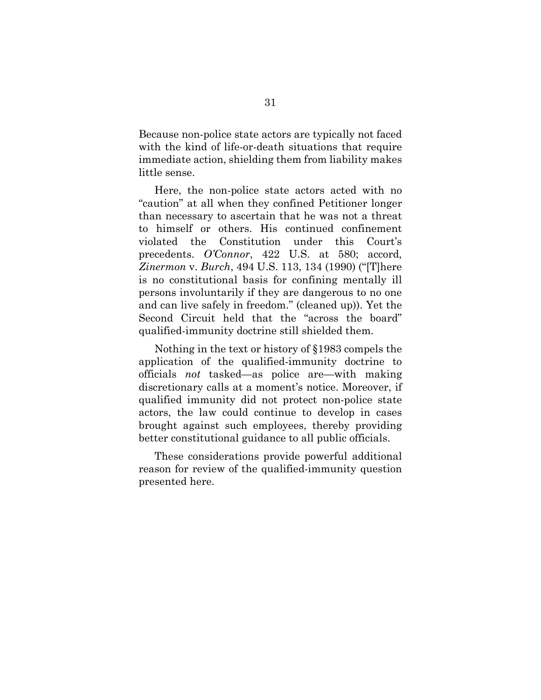Because non-police state actors are typically not faced with the kind of life-or-death situations that require immediate action, shielding them from liability makes little sense.

Here, the non-police state actors acted with no "caution" at all when they confined Petitioner longer than necessary to ascertain that he was not a threat to himself or others. His continued confinement violated the Constitution under this Court's precedents. *O'Connor*, 422 U.S. at 580; accord, *Zinermon* v. *Burch*, 494 U.S. 113, 134 (1990) ("[T]here is no constitutional basis for confining mentally ill persons involuntarily if they are dangerous to no one and can live safely in freedom." (cleaned up)). Yet the Second Circuit held that the "across the board" qualified-immunity doctrine still shielded them.

Nothing in the text or history of §1983 compels the application of the qualified-immunity doctrine to officials *not* tasked—as police are—with making discretionary calls at a moment's notice. Moreover, if qualified immunity did not protect non-police state actors, the law could continue to develop in cases brought against such employees, thereby providing better constitutional guidance to all public officials.

These considerations provide powerful additional reason for review of the qualified-immunity question presented here.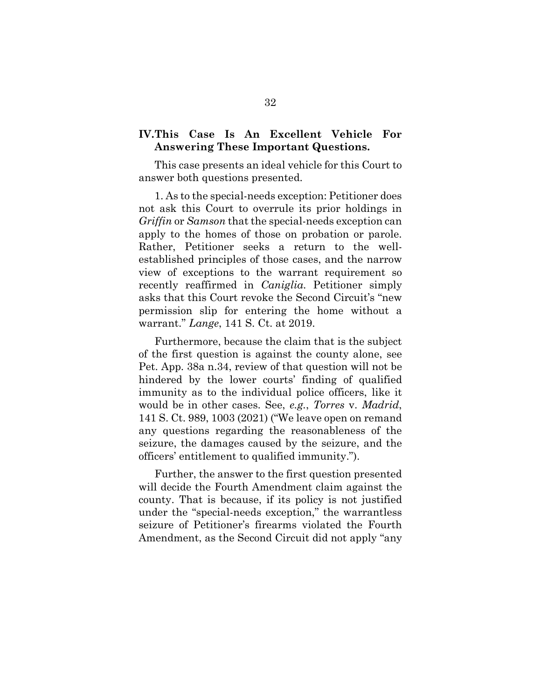# <span id="page-43-0"></span>**IV.This Case Is An Excellent Vehicle For Answering These Important Questions.**

This case presents an ideal vehicle for this Court to answer both questions presented.

1. As to the special-needs exception: Petitioner does not ask this Court to overrule its prior holdings in *Griffin* or *Samson* that the special-needs exception can apply to the homes of those on probation or parole. Rather, Petitioner seeks a return to the wellestablished principles of those cases, and the narrow view of exceptions to the warrant requirement so recently reaffirmed in *Caniglia*. Petitioner simply asks that this Court revoke the Second Circuit's "new permission slip for entering the home without a warrant." *Lange*, 141 S. Ct. at 2019.

Furthermore, because the claim that is the subject of the first question is against the county alone, see Pet. App. 38a n.34, review of that question will not be hindered by the lower courts' finding of qualified immunity as to the individual police officers, like it would be in other cases. See, *e.g.*, *Torres* v. *Madrid*, 141 S. Ct. 989, 1003 (2021) ("We leave open on remand any questions regarding the reasonableness of the seizure, the damages caused by the seizure, and the officers' entitlement to qualified immunity.").

Further, the answer to the first question presented will decide the Fourth Amendment claim against the county. That is because, if its policy is not justified under the "special-needs exception," the warrantless seizure of Petitioner's firearms violated the Fourth Amendment, as the Second Circuit did not apply "any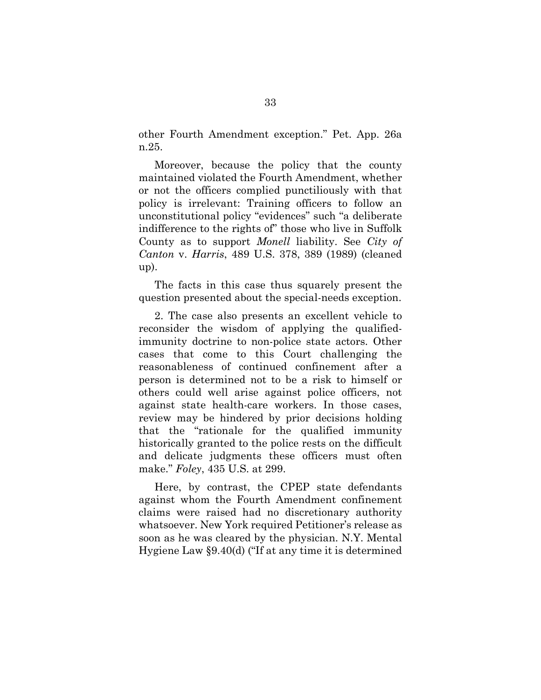other Fourth Amendment exception." Pet. App. 26a n.25.

Moreover, because the policy that the county maintained violated the Fourth Amendment, whether or not the officers complied punctiliously with that policy is irrelevant: Training officers to follow an unconstitutional policy "evidences" such "a deliberate indifference to the rights of" those who live in Suffolk County as to support *Monell* liability. See *City of Canton* v. *Harris*, 489 U.S. 378, 389 (1989) (cleaned up).

The facts in this case thus squarely present the question presented about the special-needs exception.

2. The case also presents an excellent vehicle to reconsider the wisdom of applying the qualifiedimmunity doctrine to non-police state actors. Other cases that come to this Court challenging the reasonableness of continued confinement after a person is determined not to be a risk to himself or others could well arise against police officers, not against state health-care workers. In those cases, review may be hindered by prior decisions holding that the "rationale for the qualified immunity historically granted to the police rests on the difficult and delicate judgments these officers must often make." *Foley*, 435 U.S. at 299.

Here, by contrast, the CPEP state defendants against whom the Fourth Amendment confinement claims were raised had no discretionary authority whatsoever. New York required Petitioner's release as soon as he was cleared by the physician. N.Y. Mental Hygiene Law §9.40(d) ("If at any time it is determined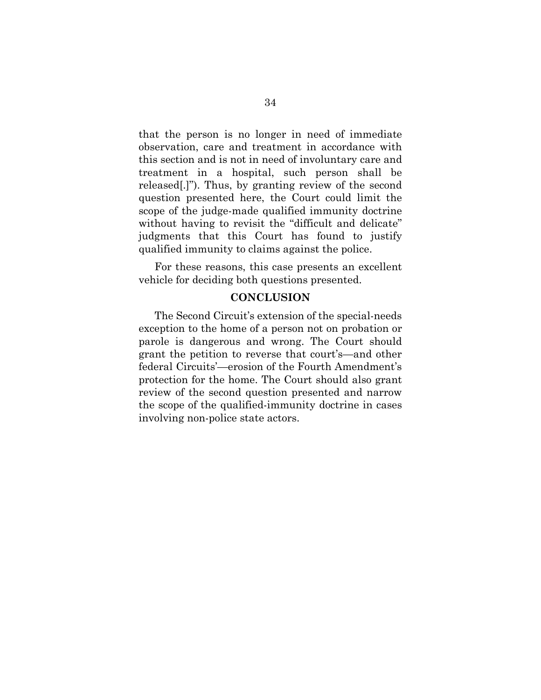that the person is no longer in need of immediate observation, care and treatment in accordance with this section and is not in need of involuntary care and treatment in a hospital, such person shall be released[.]"). Thus, by granting review of the second question presented here, the Court could limit the scope of the judge-made qualified immunity doctrine without having to revisit the "difficult and delicate" judgments that this Court has found to justify qualified immunity to claims against the police.

For these reasons, this case presents an excellent vehicle for deciding both questions presented.

#### **CONCLUSION**

<span id="page-45-0"></span>The Second Circuit's extension of the special-needs exception to the home of a person not on probation or parole is dangerous and wrong. The Court should grant the petition to reverse that court's—and other federal Circuits'—erosion of the Fourth Amendment's protection for the home. The Court should also grant review of the second question presented and narrow the scope of the qualified-immunity doctrine in cases involving non-police state actors.